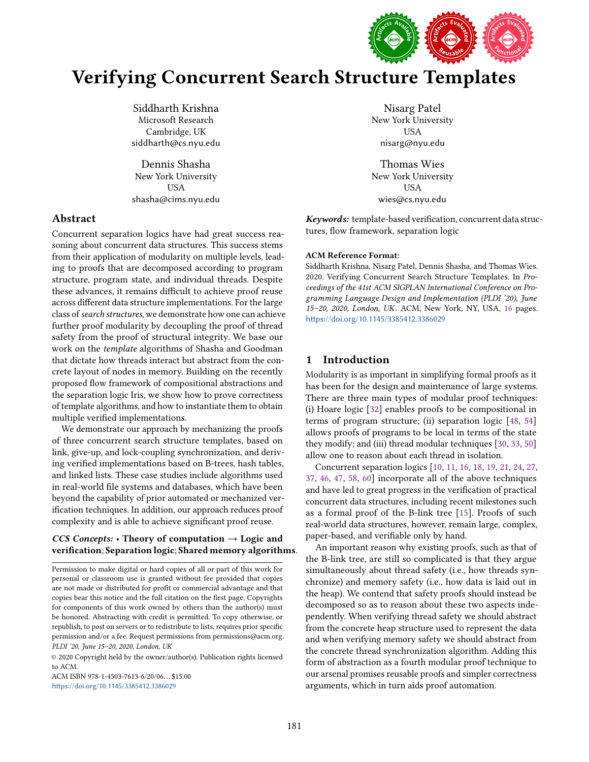

# Verifying Concurrent Search Structure Templates

Siddharth Krishna Microsoft Research Cambridge, UK siddharth@cs.nyu.edu

Dennis Shasha New York University USA shasha@cims.nyu.edu

## Abstract

Concurrent separation logics have had great success reasoning about concurrent data structures. This success stems from their application of modularity on multiple levels, leading to proofs that are decomposed according to program structure, program state, and individual threads. Despite these advances, it remains difficult to achieve proof reuse across different data structure implementations. For the large class of search structures, we demonstrate how one can achieve further proof modularity by decoupling the proof of thread safety from the proof of structural integrity. We base our work on the template algorithms of Shasha and Goodman that dictate how threads interact but abstract from the concrete layout of nodes in memory. Building on the recently proposed flow framework of compositional abstractions and the separation logic Iris, we show how to prove correctness of template algorithms, and how to instantiate them to obtain multiple verified implementations.

We demonstrate our approach by mechanizing the proofs of three concurrent search structure templates, based on link, give-up, and lock-coupling synchronization, and deriving verified implementations based on B-trees, hash tables, and linked lists. These case studies include algorithms used in real-world file systems and databases, which have been beyond the capability of prior automated or mechanized verification techniques. In addition, our approach reduces proof complexity and is able to achieve significant proof reuse.

# *CCS Concepts:* · Theory of computation → Logic and verification; Separation logic; Shared memory algorithms.

Permission to make digital or hard copies of all or part of this work for personal or classroom use is granted without fee provided that copies are not made or distributed for profit or commercial advantage and that copies bear this notice and the full citation on the first page. Copyrights for components of this work owned by others than the author(s) must be honored. Abstracting with credit is permitted. To copy otherwise, or republish, to post on servers or to redistribute to lists, requires prior specific permission and/or a fee. Request permissions from permissions@acm.org. PLDI '20, June 15-20, 2020, London, UK

© 2020 Copyright held by the owner/author(s). Publication rights licensed to ACM.

ACM ISBN 978-1-4503-7613-6/20/06. . . \$15.00 <https://doi.org/10.1145/3385412.3386029>

Nisarg Patel New York University USA nisarg@nyu.edu

Thomas Wies New York University USA wies@cs.nyu.edu

*Keywords:* template-based verification, concurrent data structures, flow framework, separation logic

#### ACM Reference Format:

Siddharth Krishna, Nisarg Patel, Dennis Shasha, and Thomas Wies. 2020. Verifying Concurrent Search Structure Templates. In Proceedings of the 41st ACM SIGPLAN International Conference on Programming Language Design and Implementation (PLDI '20), June 15-20, 2020, London, UK. ACM, New York, NY, USA, [16](#page-15-0) pages. <https://doi.org/10.1145/3385412.3386029>

# <span id="page-0-0"></span>1 Introduction

Modularity is as important in simplifying formal proofs as it has been for the design and maintenance of large systems. There are three main types of modular proof techniques: (i) Hoare logic [\[32\]](#page-14-0) enables proofs to be compositional in terms of program structure; (ii) separation logic [\[48,](#page-15-1) [54\]](#page-15-2) allows proofs of programs to be local in terms of the state they modify; and (iii) thread modular techniques [\[30,](#page-14-1) [33,](#page-14-2) [50\]](#page-15-3) allow one to reason about each thread in isolation.

Concurrent separation logics [\[10,](#page-13-0) [11,](#page-13-1) [16,](#page-13-2) [18,](#page-13-3) [19,](#page-13-4) [21,](#page-13-5) [24,](#page-14-3) [27,](#page-14-4) [37,](#page-14-5) [46,](#page-15-4) [47,](#page-15-5) [58,](#page-15-6) [60\]](#page-15-7) incorporate all of the above techniques and have led to great progress in the verification of practical concurrent data structures, including recent milestones such as a formal proof of the B-link tree [\[15\]](#page-13-6). Proofs of such real-world data structures, however, remain large, complex, paper-based, and verifiable only by hand.

An important reason why existing proofs, such as that of the B-link tree, are still so complicated is that they argue simultaneously about thread safety (i.e., how threads synchronize) and memory safety (i.e., how data is laid out in the heap). We contend that safety proofs should instead be decomposed so as to reason about these two aspects independently. When verifying thread safety we should abstract from the concrete heap structure used to represent the data and when verifying memory safety we should abstract from the concrete thread synchronization algorithm. Adding this form of abstraction as a fourth modular proof technique to our arsenal promises reusable proofs and simpler correctness arguments, which in turn aids proof automation.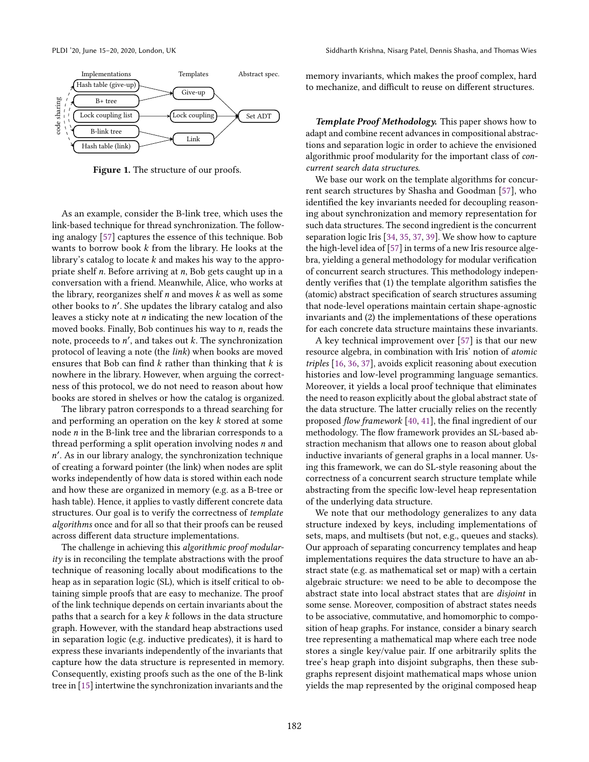<span id="page-1-0"></span>

Figure 1. The structure of our proofs.

As an example, consider the B-link tree, which uses the link-based technique for thread synchronization. The following analogy [\[57\]](#page-15-8) captures the essence of this technique. Bob wants to borrow book k from the library. He looks at the library's catalog to locate  $k$  and makes his way to the appropriate shelf *n*. Before arriving at *n*, Bob gets caught up in a conversation with a friend. Meanwhile, Alice, who works at the library, reorganizes shelf  $n$  and moves  $k$  as well as some other books to n'. She updates the library catalog and also leaves a sticky note at  $n$  indicating the new location of the moved books. Finally, Bob continues his way to n, reads the note, proceeds to  $n'$ , and takes out  $k$ . The synchronization protocol of leaving a note (the link) when books are moved ensures that Bob can find  $k$  rather than thinking that  $k$  is nowhere in the library. However, when arguing the correctness of this protocol, we do not need to reason about how books are stored in shelves or how the catalog is organized.

The library patron corresponds to a thread searching for and performing an operation on the key k stored at some node n in the B-link tree and the librarian corresponds to a thread performing a split operation involving nodes  $n$  and n ′ . As in our library analogy, the synchronization technique of creating a forward pointer (the link) when nodes are split works independently of how data is stored within each node and how these are organized in memory (e.g. as a B-tree or hash table). Hence, it applies to vastly different concrete data structures. Our goal is to verify the correctness of template algorithms once and for all so that their proofs can be reused across different data structure implementations.

The challenge in achieving this *algorithmic proof modular* $itv$  is in reconciling the template abstractions with the proof technique of reasoning locally about modifications to the heap as in separation logic (SL), which is itself critical to obtaining simple proofs that are easy to mechanize. The proof of the link technique depends on certain invariants about the paths that a search for a key  $k$  follows in the data structure graph. However, with the standard heap abstractions used in separation logic (e.g. inductive predicates), it is hard to express these invariants independently of the invariants that capture how the data structure is represented in memory. Consequently, existing proofs such as the one of the B-link tree in [\[15\]](#page-13-6) intertwine the synchronization invariants and the

memory invariants, which makes the proof complex, hard to mechanize, and difficult to reuse on different structures.

*Template Proof Methodology.* This paper shows how to adapt and combine recent advances in compositional abstractions and separation logic in order to achieve the envisioned algorithmic proof modularity for the important class of concurrent search data structures.

We base our work on the template algorithms for concurrent search structures by Shasha and Goodman [\[57\]](#page-15-8), who identified the key invariants needed for decoupling reasoning about synchronization and memory representation for such data structures. The second ingredient is the concurrent separation logic Iris [\[34,](#page-14-6) [35,](#page-14-7) [37,](#page-14-5) [39\]](#page-14-8). We show how to capture the high-level idea of [\[57\]](#page-15-8) in terms of a new Iris resource algebra, yielding a general methodology for modular verification of concurrent search structures. This methodology independently verifies that (1) the template algorithm satisfies the (atomic) abstract specification of search structures assuming that node-level operations maintain certain shape-agnostic invariants and (2) the implementations of these operations for each concrete data structure maintains these invariants.

A key technical improvement over [\[57\]](#page-15-8) is that our new resource algebra, in combination with Iris' notion of atomic triples [\[16,](#page-13-2) [36,](#page-14-9) [37\]](#page-14-5), avoids explicit reasoning about execution histories and low-level programming language semantics. Moreover, it yields a local proof technique that eliminates the need to reason explicitly about the global abstract state of the data structure. The latter crucially relies on the recently proposed flow framework [\[40,](#page-14-10) [41\]](#page-14-11), the final ingredient of our methodology. The flow framework provides an SL-based abstraction mechanism that allows one to reason about global inductive invariants of general graphs in a local manner. Using this framework, we can do SL-style reasoning about the correctness of a concurrent search structure template while abstracting from the specific low-level heap representation of the underlying data structure.

We note that our methodology generalizes to any data structure indexed by keys, including implementations of sets, maps, and multisets (but not, e.g., queues and stacks). Our approach of separating concurrency templates and heap implementations requires the data structure to have an abstract state (e.g. as mathematical set or map) with a certain algebraic structure: we need to be able to decompose the abstract state into local abstract states that are disjoint in some sense. Moreover, composition of abstract states needs to be associative, commutative, and homomorphic to composition of heap graphs. For instance, consider a binary search tree representing a mathematical map where each tree node stores a single key/value pair. If one arbitrarily splits the tree's heap graph into disjoint subgraphs, then these subgraphs represent disjoint mathematical maps whose union yields the map represented by the original composed heap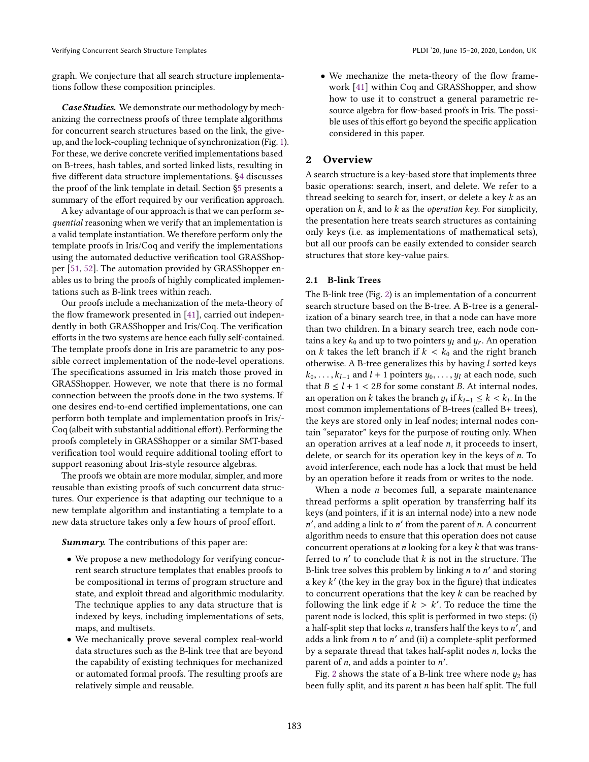graph. We conjecture that all search structure implementations follow these composition principles.

*Case Studies.* We demonstrate our methodology by mechanizing the correctness proofs of three template algorithms for concurrent search structures based on the link, the giveup, and the lock-coupling technique of synchronization (Fig. [1\)](#page-1-0). For these, we derive concrete verified implementations based on B-trees, hash tables, and sorted linked lists, resulting in five different data structure implementations. [ğ4](#page-5-0) discusses the proof of the link template in detail. Section [ğ5](#page-10-0) presents a summary of the effort required by our verification approach.

A key advantage of our approach is that we can perform sequential reasoning when we verify that an implementation is a valid template instantiation. We therefore perform only the template proofs in Iris/Coq and verify the implementations using the automated deductive verification tool GRASShopper [\[51,](#page-15-9) [52\]](#page-15-10). The automation provided by GRASShopper enables us to bring the proofs of highly complicated implementations such as B-link trees within reach.

Our proofs include a mechanization of the meta-theory of the flow framework presented in [\[41\]](#page-14-11), carried out independently in both GRASShopper and Iris/Coq. The verification efforts in the two systems are hence each fully self-contained. The template proofs done in Iris are parametric to any possible correct implementation of the node-level operations. The specifications assumed in Iris match those proved in GRASShopper. However, we note that there is no formal connection between the proofs done in the two systems. If one desires end-to-end certified implementations, one can perform both template and implementation proofs in Iris/- Coq (albeit with substantial additional effort). Performing the proofs completely in GRASShopper or a similar SMT-based verification tool would require additional tooling effort to support reasoning about Iris-style resource algebras.

The proofs we obtain are more modular, simpler, and more reusable than existing proofs of such concurrent data structures. Our experience is that adapting our technique to a new template algorithm and instantiating a template to a new data structure takes only a few hours of proof effort.

*Summary.* The contributions of this paper are:

- We propose a new methodology for verifying concurrent search structure templates that enables proofs to be compositional in terms of program structure and state, and exploit thread and algorithmic modularity. The technique applies to any data structure that is indexed by keys, including implementations of sets, maps, and multisets.
- We mechanically prove several complex real-world data structures such as the B-link tree that are beyond the capability of existing techniques for mechanized or automated formal proofs. The resulting proofs are relatively simple and reusable.

• We mechanize the meta-theory of the flow framework [\[41\]](#page-14-11) within Coq and GRASShopper, and show how to use it to construct a general parametric resource algebra for flow-based proofs in Iris. The possible uses of this effort go beyond the specific application considered in this paper.

# <span id="page-2-0"></span>2 Overview

A search structure is a key-based store that implements three basic operations: search, insert, and delete. We refer to a thread seeking to search for, insert, or delete a key k as an operation on  $k$ , and to  $k$  as the *operation key*. For simplicity, the presentation here treats search structures as containing only keys (i.e. as implementations of mathematical sets), but all our proofs can be easily extended to consider search structures that store key-value pairs.

#### 2.1 B-link Trees

The B-link tree (Fig. [2\)](#page-3-0) is an implementation of a concurrent search structure based on the B-tree. A B-tree is a generalization of a binary search tree, in that a node can have more than two children. In a binary search tree, each node contains a key  $k_0$  and up to two pointers  $y_l$  and  $y_r$ . An operation on k takes the left branch if  $k < k_0$  and the right branch otherwise. A B-tree generalizes this by having  $l$  sorted keys  $k_0, \ldots, k_{l-1}$  and  $l + 1$  pointers  $y_0, \ldots, y_l$  at each node, such that  $B \le l + 1 < 2B$  for some constant B. At internal nodes, an operation on  $k$  takes the branch  $y_i$  if  $k_{i-1} \leq k < k_i$ . In the most common implementations of B-trees (called B+ trees), the keys are stored only in leaf nodes; internal nodes contain "separator" keys for the purpose of routing only. When an operation arrives at a leaf node  $n$ , it proceeds to insert, delete, or search for its operation key in the keys of n. To avoid interference, each node has a lock that must be held by an operation before it reads from or writes to the node.

When a node *n* becomes full, a separate maintenance thread performs a split operation by transferring half its keys (and pointers, if it is an internal node) into a new node  $n'$ , and adding a link to  $n'$  from the parent of  $n$ . A concurrent algorithm needs to ensure that this operation does not cause concurrent operations at *n* looking for a key k that was transferred to  $n'$  to conclude that  $k$  is not in the structure. The B-link tree solves this problem by linking  $n$  to  $n'$  and storing a key k' (the key in the gray box in the figure) that indicates to concurrent operations that the key  $k$  can be reached by following the link edge if  $k > k'$ . To reduce the time the parent node is locked, this split is performed in two steps: (i) a half-split step that locks  $n$ , transfers half the keys to  $n'$ , and adds a link from  $n$  to  $n'$  and (ii) a complete-split performed by a separate thread that takes half-split nodes  $n$ , locks the parent of  $n$ , and adds a pointer to  $n'$ .

Fig. [2](#page-3-0) shows the state of a B-link tree where node  $y_2$  has been fully split, and its parent  $n$  has been half split. The full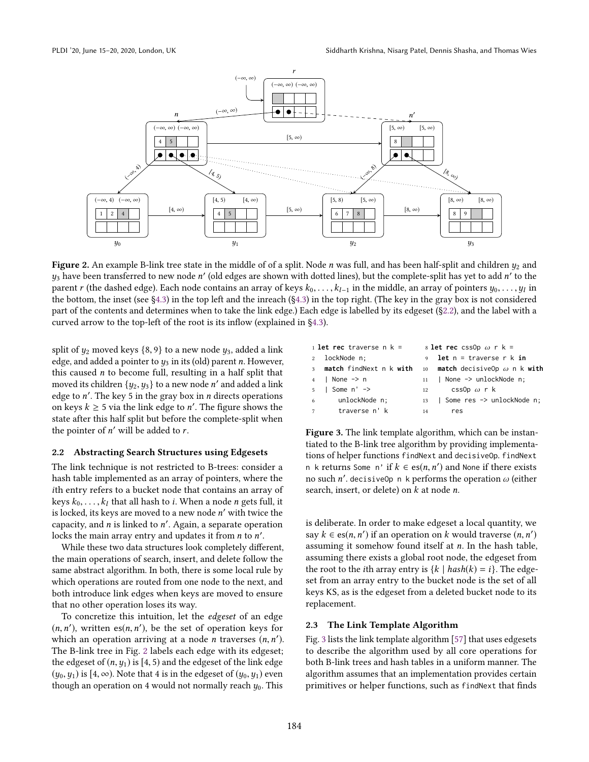<span id="page-3-0"></span>

Figure 2. An example B-link tree state in the middle of of a split. Node  $n$  was full, and has been half-split and children  $y_2$  and  $y_3$  have been transferred to new node  $n'$  (old edges are shown with dotted lines), but the complete-split has yet to add  $n'$  to the parent  $r$  (the dashed edge). Each node contains an array of keys  $k_0, \ldots, k_{l-1}$  in the middle, an array of pointers  $y_0, \ldots, y_l$  in the bottom, the inset (see [ğ4.3\)](#page-7-0) in the top left and the inreach ([ğ4.3\)](#page-7-0) in the top right. (The key in the gray box is not considered part of the contents and determines when to take the link edge.) Each edge is labelled by its edgeset ([ğ2.2\)](#page-3-1), and the label with a curved arrow to the top-left of the root is its inflow (explained in [ğ4.3\)](#page-7-0).

split of  $y_2$  moved keys {8, 9} to a new node  $y_3$ , added a link edge, and added a pointer to  $y_3$  in its (old) parent n. However, this caused  $n$  to become full, resulting in a half split that moved its children  $\{y_2,y_3\}$  to a new node  $n'$  and added a link edge to  $n'$ . The key 5 in the gray box in  $n$  directs operations on keys  $k \geq 5$  via the link edge to n'. The figure shows the state after this half split but before the complete-split when the pointer of  $n'$  will be added to  $r$ .

#### <span id="page-3-1"></span>2.2 Abstracting Search Structures using Edgesets

The link technique is not restricted to B-trees: consider a hash table implemented as an array of pointers, where the ith entry refers to a bucket node that contains an array of keys  $k_0, \ldots, k_l$  that all hash to *i*. When a node *n* gets full, it is locked, its keys are moved to a new node  $n'$  with twice the capacity, and  $n$  is linked to  $n'$ . Again, a separate operation locks the main array entry and updates it from  $n$  to  $n'$ .

While these two data structures look completely different, the main operations of search, insert, and delete follow the same abstract algorithm. In both, there is some local rule by which operations are routed from one node to the next, and both introduce link edges when keys are moved to ensure that no other operation loses its way.

To concretize this intuition, let the edgeset of an edge  $(n, n')$ , written es $(n, n')$ , be the set of operation keys for which an operation arriving at a node *n* traverses  $(n, n')$ . The B-link tree in Fig. [2](#page-3-0) labels each edge with its edgeset; the edgeset of  $(n, y_1)$  is [4, 5) and the edgeset of the link edge  $(y_0, y_1)$  is [4, ∞). Note that 4 is in the edgeset of  $(y_0, y_1)$  even though an operation on 4 would not normally reach  $y_0$ . This

<span id="page-3-5"></span><span id="page-3-4"></span><span id="page-3-3"></span><span id="page-3-2"></span>

|               | 1 <b>let rec</b> traverse $n k =$ | 8 <b>let rec</b> css0p $\omega$ r k = |                                                                 |  |  |  |
|---------------|-----------------------------------|---------------------------------------|-----------------------------------------------------------------|--|--|--|
| 2 lockNode n; |                                   |                                       | 9 <b>let</b> $n =$ traverse $r \, k$ in                         |  |  |  |
|               |                                   |                                       | 3 match findNext n k with 10 match decisiveOp $\omega$ n k with |  |  |  |
|               | $4$   None $\rightarrow$ n        |                                       | 11   None -> unlockNode n;                                      |  |  |  |
|               | $5 \mid$ Some n' $\rightarrow$    |                                       | cssOp $\omega$ r k                                              |  |  |  |
|               | 6 unlockNode n;                   |                                       | 13   Some res -> unlockNode n;                                  |  |  |  |
|               | 7 traverse n' k                   | 14                                    | res                                                             |  |  |  |
|               |                                   |                                       |                                                                 |  |  |  |

Figure 3. The link template algorithm, which can be instantiated to the B-link tree algorithm by providing implementations of helper functions findNext and decisiveOp. findNext n k returns Some n' if  $k \in \operatorname{es}(n, n')$  and None if there exists no such  $n'$ . decisiveOp n k performs the operation  $\omega$  (either search, insert, or delete) on  $k$  at node  $n$ .

is deliberate. In order to make edgeset a local quantity, we say  $k \in \text{es}(n, n')$  if an operation on k would traverse  $(n, n')$ assuming it somehow found itself at n. In the hash table, assuming there exists a global root node, the edgeset from the root to the *i*th array entry is  $\{k \mid hash(k) = i\}$ . The edgeset from an array entry to the bucket node is the set of all keys KS, as is the edgeset from a deleted bucket node to its replacement.

#### 2.3 The Link Template Algorithm

Fig. [3](#page-3-2) lists the link template algorithm [\[57\]](#page-15-8) that uses edgesets to describe the algorithm used by all core operations for both B-link trees and hash tables in a uniform manner. The algorithm assumes that an implementation provides certain primitives or helper functions, such as findNext that finds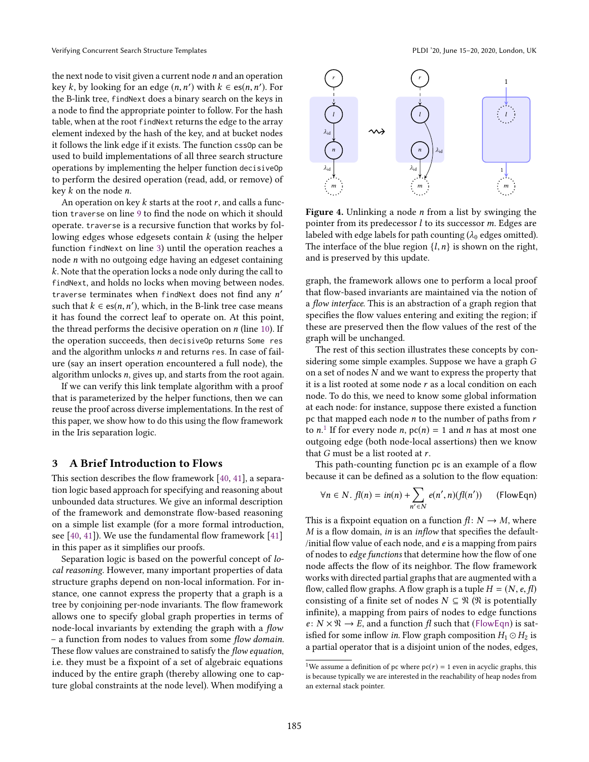the next node to visit given a current node n and an operation key k, by looking for an edge  $(n, n')$  with  $k \in \text{es}(n, n')$ . For the B-link tree, findNext does a binary search on the keys in a node to find the appropriate pointer to follow. For the hash table, when at the root findNext returns the edge to the array element indexed by the hash of the key, and at bucket nodes it follows the link edge if it exists. The function cssOp can be used to build implementations of all three search structure operations by implementing the helper function decisiveOp to perform the desired operation (read, add, or remove) of key  $k$  on the node  $n$ .

An operation on key  $k$  starts at the root  $r$ , and calls a function traverse on line [9](#page-3-3) to find the node on which it should operate. traverse is a recursive function that works by following edges whose edgesets contain  $k$  (using the helper function findNext on line [3\)](#page-3-4) until the operation reaches a node n with no outgoing edge having an edgeset containing k. Note that the operation locks a node only during the call to findNext, and holds no locks when moving between nodes. traverse terminates when findNext does not find any n' such that  $k \in \text{es}(n, n')$ , which, in the B-link tree case means it has found the correct leaf to operate on. At this point, the thread performs the decisive operation on  $n$  (line [10\)](#page-3-5). If the operation succeeds, then decisiveOp returns Some res and the algorithm unlocks n and returns res. In case of failure (say an insert operation encountered a full node), the algorithm unlocks n, gives up, and starts from the root again.

If we can verify this link template algorithm with a proof that is parameterized by the helper functions, then we can reuse the proof across diverse implementations. In the rest of this paper, we show how to do this using the flow framework in the Iris separation logic.

## <span id="page-4-3"></span>3 A Brief Introduction to Flows

This section describes the flow framework [\[40,](#page-14-10) [41\]](#page-14-11), a separation logic based approach for specifying and reasoning about unbounded data structures. We give an informal description of the framework and demonstrate flow-based reasoning on a simple list example (for a more formal introduction, see  $[40, 41]$  $[40, 41]$ ). We use the fundamental flow framework  $[41]$ in this paper as it simplifies our proofs.

Separation logic is based on the powerful concept of local reasoning. However, many important properties of data structure graphs depend on non-local information. For instance, one cannot express the property that a graph is a tree by conjoining per-node invariants. The flow framework allows one to specify global graph properties in terms of node-local invariants by extending the graph with a flow - a function from nodes to values from some flow domain. These flow values are constrained to satisfy the flow equation, i.e. they must be a fixpoint of a set of algebraic equations induced by the entire graph (thereby allowing one to capture global constraints at the node level). When modifying a

<span id="page-4-2"></span>

Figure 4. Unlinking a node  $n$  from a list by swinging the pointer from its predecessor  $l$  to its successor  $m$ . Edges are labeled with edge labels for path counting ( $\lambda_0$  edges omitted). The interface of the blue region  $\{l, n\}$  is shown on the right, and is preserved by this update.

graph, the framework allows one to perform a local proof that flow-based invariants are maintained via the notion of a flow interface. This is an abstraction of a graph region that specifies the flow values entering and exiting the region; if these are preserved then the flow values of the rest of the graph will be unchanged.

The rest of this section illustrates these concepts by considering some simple examples. Suppose we have a graph G on a set of nodes N and we want to express the property that it is a list rooted at some node  $r$  as a local condition on each node. To do this, we need to know some global information at each node: for instance, suppose there existed a function pc that mapped each node  $n$  to the number of paths from  $r$ to *n*.<sup>[1](#page-4-0)</sup> If for every node *n*,  $pc(n) = 1$  and *n* has at most one outgoing edge (both node-local assertions) then we know that  $G$  must be a list rooted at  $r$ .

This path-counting function pc is an example of a flow because it can be defined as a solution to the flow equation:

<span id="page-4-1"></span>
$$
\forall n \in N. f l(n) = in(n) + \sum_{n' \in N} e(n', n) (f l(n')) \qquad \text{(FlowEqn)}
$$

This is a fixpoint equation on a function  $f: N \to M$ , where  $M$  is a flow domain, in is an inflow that specifies the default-/initial flow value of each node, and e is a mapping from pairs of nodes to edge functions that determine how the flow of one node affects the flow of its neighbor. The flow framework works with directed partial graphs that are augmented with a flow, called flow graphs. A flow graph is a tuple  $H = (N, e, f)$ consisting of a finite set of nodes  $N \subseteq \mathcal{N}$  ( $\mathcal{N}$  is potentially infinite), a mapping from pairs of nodes to edge functions  $e: N \times \mathfrak{N} \to E$ , and a function fl such that ([FlowEqn](#page-4-1)) is satisfied for some inflow *in*. Flow graph composition  $H_1 \odot H_2$  is a partial operator that is a disjoint union of the nodes, edges,

<span id="page-4-0"></span><sup>&</sup>lt;sup>1</sup>We assume a definition of pc where  $pc(r) = 1$  even in acyclic graphs, this is because typically we are interested in the reachability of heap nodes from an external stack pointer.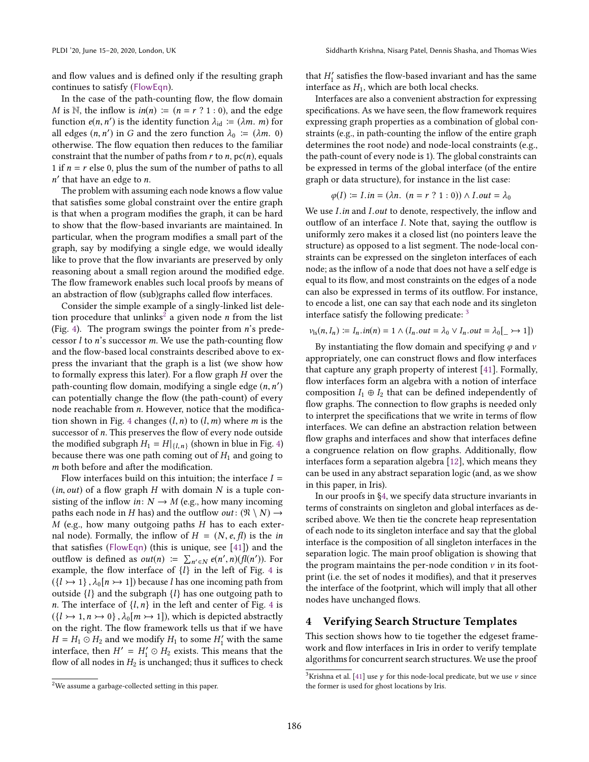and flow values and is defined only if the resulting graph continues to satisfy ([FlowEqn](#page-4-1)).

In the case of the path-counting flow, the flow domain *M* is N, the inflow is  $in(n) := (n = r \cdot ? \cdot 1 : 0)$ , and the edge function  $e(n, n')$  is the identity function  $\lambda_{\text{id}} \coloneqq (\lambda m. m)$  for all edges  $(n, n')$  in G and the zero function  $\lambda_0 := (\lambda m. 0)$ otherwise. The flow equation then reduces to the familiar constraint that the number of paths from  $r$  to  $n$ ,  $pc(n)$ , equals 1 if  $n = r$  else 0, plus the sum of the number of paths to all n ′ that have an edge to n.

The problem with assuming each node knows a flow value that satisfies some global constraint over the entire graph is that when a program modifies the graph, it can be hard to show that the flow-based invariants are maintained. In particular, when the program modifies a small part of the graph, say by modifying a single edge, we would ideally like to prove that the flow invariants are preserved by only reasoning about a small region around the modified edge. The flow framework enables such local proofs by means of an abstraction of flow (sub)graphs called flow interfaces.

Consider the simple example of a singly-linked list dele-tion procedure that unlinks<sup>[2](#page-5-1)</sup> a given node *n* from the list (Fig. [4\)](#page-4-2). The program swings the pointer from n's predecessor  $l$  to  $n$ 's successor  $m$ . We use the path-counting flow and the flow-based local constraints described above to express the invariant that the graph is a list (we show how to formally express this later). For a flow graph H over the path-counting flow domain, modifying a single edge  $(n, n')$ can potentially change the flow (the path-count) of every node reachable from n. However, notice that the modifica-tion shown in Fig. [4](#page-4-2) changes  $(l, n)$  to  $(l, m)$  where m is the successor of n. This preserves the flow of every node outside the modified subgraph  $H_1 = H|_{\{l,n\}}$  (shown in blue in Fig. [4\)](#page-4-2) because there was one path coming out of  $H_1$  and going to m both before and after the modification.

Flow interfaces build on this intuition; the interface  $I =$  $(in, out)$  of a flow graph H with domain N is a tuple consisting of the inflow in:  $N \rightarrow M$  (e.g., how many incoming paths each node in H has) and the outflow *out* :  $(\Re \setminus N) \rightarrow$  $M$  (e.g., how many outgoing paths  $H$  has to each external node). Formally, the inflow of  $H = (N, e, fl)$  is the in that satisfies ([FlowEqn](#page-4-1)) (this is unique, see [\[41\]](#page-14-11)) and the outflow is defined as *out*(*n*)  $\coloneqq \sum_{n' \in N} e(n', n) (f(n'))$ . For example, the flow interface of  $\{l\}$  in the left of Fig. [4](#page-4-2) is  $({l \rightarrow 1}, \lambda_0[n \rightarrow 1])$  because l has one incoming path from outside  $\{l\}$  and the subgraph  $\{l\}$  has one outgoing path to *n*. The interface of  $\{l, n\}$  in the left and center of Fig. [4](#page-4-2) is  $({l \rightarrow 1, n \rightarrow 0}, \lambda_0[m \rightarrow 1])$ , which is depicted abstractly on the right. The flow framework tells us that if we have  $H = H_1 \odot H_2$  and we modify  $H_1$  to some  $H'_1$  with the same interface, then  $H' = H'_1 \odot H_2$  exists. This means that the flow of all nodes in  $H_2$  is unchanged; thus it suffices to check

that  $H_1'$  satisfies the flow-based invariant and has the same interface as  $H_1$ , which are both local checks.

Interfaces are also a convenient abstraction for expressing specifications. As we have seen, the flow framework requires expressing graph properties as a combination of global constraints (e.g., in path-counting the inflow of the entire graph determines the root node) and node-local constraints (e.g., the path-count of every node is 1). The global constraints can be expressed in terms of the global interface (of the entire graph or data structure), for instance in the list case:

$$
\varphi(I) := I.in = (\lambda n. (n = r ? 1 : 0)) \wedge I.out = \lambda_0
$$

We use I.in and I.out to denote, respectively, the inflow and outflow of an interface I. Note that, saying the outflow is uniformly zero makes it a closed list (no pointers leave the structure) as opposed to a list segment. The node-local constraints can be expressed on the singleton interfaces of each node; as the inflow of a node that does not have a self edge is equal to its flow, and most constraints on the edges of a node can also be expressed in terms of its outflow. For instance, to encode a list, one can say that each node and its singleton interface satisfy the following predicate:  $3$ 

$$
\nu_{\rm ls}(n, I_n) := I_n \cdot in(n) = 1 \land (I_n \cdot out = \lambda_0 \lor I_n \cdot out = \lambda_0[\_ \rightarrow 1])
$$

By instantiating the flow domain and specifying  $\varphi$  and  $\nu$ appropriately, one can construct flows and flow interfaces that capture any graph property of interest [\[41\]](#page-14-11). Formally, flow interfaces form an algebra with a notion of interface composition  $I_1 \oplus I_2$  that can be defined independently of flow graphs. The connection to flow graphs is needed only to interpret the specifications that we write in terms of flow interfaces. We can define an abstraction relation between flow graphs and interfaces and show that interfaces define a congruence relation on flow graphs. Additionally, flow interfaces form a separation algebra [\[12\]](#page-13-7), which means they can be used in any abstract separation logic (and, as we show in this paper, in Iris).

In our proofs in [ğ4,](#page-5-0) we specify data structure invariants in terms of constraints on singleton and global interfaces as described above. We then tie the concrete heap representation of each node to its singleton interface and say that the global interface is the composition of all singleton interfaces in the separation logic. The main proof obligation is showing that the program maintains the per-node condition  $\nu$  in its footprint (i.e. the set of nodes it modifies), and that it preserves the interface of the footprint, which will imply that all other nodes have unchanged flows.

# <span id="page-5-0"></span>4 Verifying Search Structure Templates

This section shows how to tie together the edgeset framework and flow interfaces in Iris in order to verify template algorithms for concurrent search structures. We use the proof

<span id="page-5-1"></span><sup>2</sup>We assume a garbage-collected setting in this paper.

<span id="page-5-2"></span><sup>&</sup>lt;sup>3</sup>Krishna et al. [\[41\]](#page-14-11) use  $\gamma$  for this node-local predicate, but we use  $\nu$  since the former is used for ghost locations by Iris.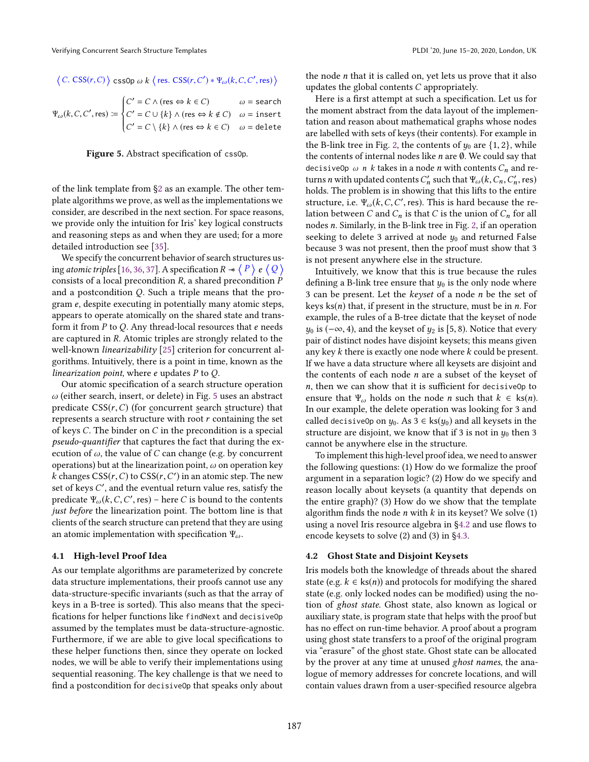<span id="page-6-0"></span>
$$
\langle C. \; \text{CSS}(r, C) \rangle \; \text{cssOp } \omega \; k \; \langle \; \text{res.} \; \text{CSS}(r, C') * \Psi_{\omega}(k, C, C', \text{res}) \; \rangle
$$

$$
\Psi_{\omega}(k, C, C', res) := \begin{cases}\nC' = C \land (res \Leftrightarrow k \in C) & \omega = search \\
C' = C \cup \{k\} \land (res \Leftrightarrow k \notin C) & \omega = insert \\
C' = C \setminus \{k\} \land (res \Leftrightarrow k \in C) & \omega = delete\n\end{cases}
$$

Figure 5. Abstract specification of cssOp.

of the link template from [ğ2](#page-2-0) as an example. The other template algorithms we prove, as well as the implementations we consider, are described in the next section. For space reasons, we provide only the intuition for Iris' key logical constructs and reasoning steps as and when they are used; for a more detailed introduction see [\[35\]](#page-14-7).

We specify the concurrent behavior of search structures using *atomic triples* [\[16,](#page-13-2) [36,](#page-14-9) [37\]](#page-14-5). A specification R  $\overline{\;\star\;}\langle\;\!P\;\!\rangle\;$  e  $\langle\;\!Q\;\!\rangle$ consists of a local precondition  $R$ , a shared precondition  $P$ and a postcondition Q. Such a triple means that the program e, despite executing in potentially many atomic steps, appears to operate atomically on the shared state and transform it from  $P$  to  $Q$ . Any thread-local resources that  $e$  needs are captured in R. Atomic triples are strongly related to the well-known *linearizability* [\[25\]](#page-14-12) criterion for concurrent algorithms. Intuitively, there is a point in time, known as the linearization point, where e updates P to Q.

Our atomic specification of a search structure operation  $\omega$  (either search, insert, or delete) in Fig. [5](#page-6-0) uses an abstract predicate  $CSS(r, C)$  (for concurrent search structure) that represents a search structure with root r containing the set of keys C. The binder on C in the precondition is a special pseudo-quantifier that captures the fact that during the execution of  $\omega$ , the value of C can change (e.g. by concurrent operations) but at the linearization point,  $\omega$  on operation key  $k$  changes  $CSS(r, C)$  to  $CSS(r, C')$  in an atomic step. The new set of keys C', and the eventual return value res, satisfy the predicate  $\Psi_{\omega} (k, C, C', \text{res})$  – here C is bound to the contents just before the linearization point. The bottom line is that clients of the search structure can pretend that they are using an atomic implementation with specification  $\Psi_{\omega}$ .

#### 4.1 High-level Proof Idea

As our template algorithms are parameterized by concrete data structure implementations, their proofs cannot use any data-structure-specific invariants (such as that the array of keys in a B-tree is sorted). This also means that the specifications for helper functions like findNext and decisiveOp assumed by the templates must be data-structure-agnostic. Furthermore, if we are able to give local specifications to these helper functions then, since they operate on locked nodes, we will be able to verify their implementations using sequential reasoning. The key challenge is that we need to find a postcondition for decisiveOp that speaks only about

the node  $n$  that it is called on, yet lets us prove that it also updates the global contents C appropriately.

Here is a first attempt at such a specification. Let us for the moment abstract from the data layout of the implementation and reason about mathematical graphs whose nodes are labelled with sets of keys (their contents). For example in the B-link tree in Fig. [2,](#page-3-0) the contents of  $y_0$  are  $\{1, 2\}$ , while the contents of internal nodes like  $n$  are  $\emptyset$ . We could say that decisiveOp  $\omega$  n k takes in a node n with contents  $C_n$  and returns n with updated contents  $C'_n$  such that  $\Psi_\omega(k, C_n, C'_n, \text{res})$ holds. The problem is in showing that this lifts to the entire structure, i.e.  $\Psi_{\omega}(k, C, C', \text{res})$ . This is hard because the relation between C and  $C_n$  is that C is the union of  $C_n$  for all nodes n. Similarly, in the B-link tree in Fig. [2,](#page-3-0) if an operation seeking to delete 3 arrived at node  $y_0$  and returned False because 3 was not present, then the proof must show that 3 is not present anywhere else in the structure.

Intuitively, we know that this is true because the rules defining a B-link tree ensure that  $y_0$  is the only node where 3 can be present. Let the keyset of a node n be the set of keys  $ks(n)$  that, if present in the structure, must be in *n*. For example, the rules of a B-tree dictate that the keyset of node  $y_0$  is ( $-\infty$ , 4), and the keyset of  $y_2$  is [5, 8). Notice that every pair of distinct nodes have disjoint keysets; this means given any key k there is exactly one node where k could be present. If we have a data structure where all keysets are disjoint and the contents of each node  $n$  are a subset of the keyset of n, then we can show that it is sufficient for decisiveOp to ensure that  $\Psi_{\omega}$  holds on the node *n* such that  $k \in \text{ks}(n)$ . In our example, the delete operation was looking for 3 and called decisive Op on  $y_0$ . As  $3 \in \text{ks}(y_0)$  and all keysets in the structure are disjoint, we know that if 3 is not in  $y_0$  then 3 cannot be anywhere else in the structure.

To implement this high-level proof idea, we need to answer the following questions: (1) How do we formalize the proof argument in a separation logic? (2) How do we specify and reason locally about keysets (a quantity that depends on the entire graph)? (3) How do we show that the template algorithm finds the node *n* with  $k$  in its keyset? We solve (1) using a novel Iris resource algebra in [ğ4.2](#page-6-1) and use flows to encode keysets to solve (2) and (3) in [ğ4.3.](#page-7-0)

#### <span id="page-6-1"></span>4.2 Ghost State and Disjoint Keysets

Iris models both the knowledge of threads about the shared state (e.g.  $k \in \text{ks}(n)$ ) and protocols for modifying the shared state (e.g. only locked nodes can be modified) using the notion of ghost state. Ghost state, also known as logical or auxiliary state, is program state that helps with the proof but has no effect on run-time behavior. A proof about a program using ghost state transfers to a proof of the original program via "erasure" of the ghost state. Ghost state can be allocated by the prover at any time at unused ghost names, the analogue of memory addresses for concrete locations, and will contain values drawn from a user-specified resource algebra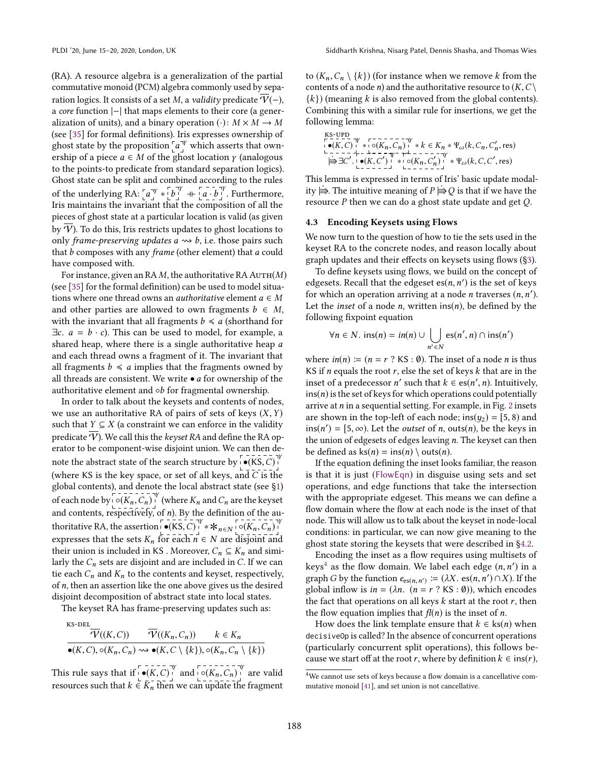(RA). A resource algebra is a generalization of the partial commutative monoid (PCM) algebra commonly used by separation logics. It consists of a set M, a *validity* predicate  $\overline{V}(-)$ , a core function |−| that maps elements to their core (a generalization of units), and a binary operation ( $\cdot$ ):  $M \times M \rightarrow M$ (see [\[35\]](#page-14-7) for formal definitions). Iris expresses ownership of ghost state by the proposition  $\int a^{\nu}$  which asserts that ownership of a piece  $a \in M$  of the ghost location  $\gamma$  (analogous to the points-to predicate from standard separation logics). Ghost state can be split and combined according to the rules of the underlying RA:  $[a^{\gamma} * [b^{\gamma}] + [a \cdot b^{\gamma}]$ . Furthermore, Iris maintains the invariant that the composition of all the pieces of ghost state at a particular location is valid (as given by  $\overline{\Psi}$ ). To do this, Iris restricts updates to ghost locations to only frame-preserving updates  $a \rightsquigarrow b$ , i.e. those pairs such that *b* composes with any frame (other element) that *a* could have composed with.

For instance, given an RA  $M$ , the authoritative RA AUTH $(M)$ (see [\[35\]](#page-14-7) for the formal definition) can be used to model situations where one thread owns an *authoritative* element  $a \in M$ and other parties are allowed to own fragments  $b \in M$ , with the invariant that all fragments  $b \le a$  (shorthand for  $\exists c. \ a = b \cdot c$ . This can be used to model, for example, a shared heap, where there is a single authoritative heap a and each thread owns a fragment of it. The invariant that all fragments  $b \le a$  implies that the fragments owned by all threads are consistent. We write  $\bullet$  *a* for ownership of the authoritative element and ◦b for fragmental ownership.

In order to talk about the keysets and contents of nodes, we use an authoritative RA of pairs of sets of keys  $(X, Y)$ such that  $Y \subseteq X$  (a constraint we can enforce in the validity predicate  $\overline{\mathcal{V}}$ ). We call this the keyset RA and define the RA operator to be component-wise disjoint union. We can then denote the abstract state of the search structure by  $\begin{bmatrix} 1 & 0 & 0 \\ 0 & (KS, C) & 0 \end{bmatrix}$ (where KS is the key space, or set of all keys, and  $\overline{C}$  is the global contents), and denote the local abstract state (see [ğ1\)](#page-0-0) of each node by  $\overline{\circ}$  ( $K_n$ ,  $C_n$ )<sup> $\overline{\circ}$ </sup> (where  $K_n$  and  $C_n$  are the keyset and contents, respectively, of  $n$ ). By the definition of the authoritative RA, the assertion  $\begin{bmatrix} -2 & -2 & -y \\ -6 & -8 & 0 \end{bmatrix} * *_{n \in N} \begin{bmatrix} -6 & -7 \\ 0 & -7 \\ -7 & 0 \end{bmatrix}$ expresses that the sets  $K_n$  for each  $n \in N$  are disjoint and their union is included in KS. Moreover,  $C_n \subseteq K_n$  and similarly the  $C_n$  sets are disjoint and are included in C. If we can tie each  $C_n$  and  $K_n$  to the contents and keyset, respectively, of  $n$ , then an assertion like the one above gives us the desired disjoint decomposition of abstract state into local states.

The keyset RA has frame-preserving updates such as:

$$
\frac{\overline{\mathcal{V}}((K,\mathcal{C}))}{\overline{\mathcal{V}}((K,\mathcal{C}))} \qquad \frac{\overline{\mathcal{V}}((K_n,\mathcal{C}_n))}{\overline{\mathcal{V}}((K_n,\mathcal{C}_n))} \qquad k \in K_n
$$
\n
$$
\bullet (K,\mathcal{C}), \circ (K_n,\mathcal{C}_n) \rightsquigarrow \bullet (K,\mathcal{C} \setminus \{k\}), \circ (K_n,\mathcal{C}_n \setminus \{k\})
$$

This rule says that if  $\left[\bullet(K,C)\right]^{\gamma}$  and  $\left[\bullet(K_n,C_n)\right]^{\gamma}$  are valid resources such that  $k \in K_n$  then we can update the fragment to  $(K_n, C_n \setminus \{k\})$  (for instance when we remove k from the contents of a node *n*) and the authoritative resource to  $(K, C)$  $\{k\}$ ) (meaning k is also removed from the global contents). Combining this with a similar rule for insertions, we get the following lemma:

<span id="page-7-2"></span>
$$
\begin{array}{ll}\n\text{KS-UPD} & \text{r=}\n\begin{array}{ll}\n & \text{r=}\n\end{array}\n & \text{r=}\n\begin{array}{ll}\n & \text{r=}\n\end{array}\n & \text{r=}\n\begin{array}{ll}\n & \text{r=}\n\end{array}\n & \text{w=}\n\end{array}\n & \text{w=}\n\begin{array}{ll}\n & \text{w=}\n\end{array}\n & \text{w=}\n\begin{array}{ll}\n & \text{w=}\n\end{array}\n & \text{w=}\n\end{array}\n & \text{w=}\n\begin{array}{ll}\n & \text{w=}\n\end{array}\n & \text{w=}\n\end{array}\n & \text{w=}\n\begin{array}{ll}\n & \text{w=}\n\end{array}\n & \text{w=}\n\end{array}\n & \text{w=}\n\begin{array}{ll}\n & \text{w=}\n\end{array}\n & \text{w=}\n\end{array}\n & \text{w=}\n\begin{array}{ll}\n & \text{w=}\n\end{array}\n & \text{w=}\n\end{array}\n & \text{w=}\n\begin{array}{ll}\n & \text{w=}\n\end{array}\n & \text{w=}\n\end{array}\n & \text{w=}\n\begin{array}{ll}\n & \text{w=}\n\end{array}\n & \text{w=}\n\end{array}\n & \text{w=}\n\begin{array}{ll}\n & \text{w=}\n\end{array}\n & \text{w=}\n\end{array}\n & \text{w=}\n\begin{array}{ll}\n & \text{w=}\n\end{array}\n & \text{w=}\n\end{array}\n & \text{w=}\n\end{array}\n & \text{w=}\n\begin{array}{ll}\n & \text{w=}\n\end{array}\n & \text{w=}\n\end{array}\n & \text{w=}\n\end{array}\n & \text{w=}\n\begin{array}{ll}\n & \text{w=}\n\end{array}\n & \text{w=}\n\end{array}\n & \text{w=}
$$

This lemma is expressed in terms of Iris' basic update modality  $\Rightarrow$ . The intuitive meaning of  $P \Rightarrow Q$  is that if we have the resource  $P$  then we can do a ghost state update and get  $Q$ .

#### <span id="page-7-0"></span>4.3 Encoding Keysets using Flows

We now turn to the question of how to tie the sets used in the keyset RA to the concrete nodes, and reason locally about graph updates and their effects on keysets using flows ([ğ3\)](#page-4-3).

To define keysets using flows, we build on the concept of edgesets. Recall that the edgeset  $es(n, n')$  is the set of keys for which an operation arriving at a node *n* traverses  $(n, n')$ . Let the *inset* of a node  $n$ , written  $ins(n)$ , be defined by the following fixpoint equation

$$
\forall n \in N. \text{ ins}(n) = in(n) \cup \bigcup_{n' \in N} \text{es}(n', n) \cap \text{ins}(n')
$$

where  $in(n) := (n = r ? KS : \emptyset)$ . The inset of a node *n* is thus KS if *n* equals the root  $r$ , else the set of keys  $k$  that are in the inset of a predecessor *n'* such that  $k \in \text{es}(n', n)$ . Intuitively,  $ins(n)$  is the set of keys for which operations could potentially arrive at  $n$  in a sequential setting. For example, in Fig. [2](#page-3-0) insets are shown in the top-left of each node; ins( $y_2$ ) = [5, 8) and  $ins(n') = [5, \infty)$ . Let the *outset* of *n*, outs(*n*), be the keys in the union of edgesets of edges leaving  $n$ . The keyset can then be defined as  $ks(n) = ins(n) \setminus outs(n)$ .

If the equation defining the inset looks familiar, the reason is that it is just ([FlowEqn](#page-4-1)) in disguise using sets and set operations, and edge functions that take the intersection with the appropriate edgeset. This means we can define a flow domain where the flow at each node is the inset of that node. This will allow us to talk about the keyset in node-local conditions: in particular, we can now give meaning to the ghost state storing the keysets that were described in [ğ4.2.](#page-6-1)

Encoding the inset as a flow requires using multisets of keys<sup>[4](#page-7-1)</sup> as the flow domain. We label each edge  $(n, n')$  in a graph *G* by the function  $e_{es(n, n')} := (\lambda X. \operatorname{es}(n, n') \cap X)$ . If the global inflow is  $in = (\lambda n. (n = r ? KS : \emptyset))$ , which encodes the fact that operations on all keys  $k$  start at the root  $r$ , then the flow equation implies that  $f(n)$  is the inset of *n*.

How does the link template ensure that  $k \in \text{ks}(n)$  when decisiveOp is called? In the absence of concurrent operations (particularly concurrent split operations), this follows because we start off at the root r, where by definition  $k \in ins(r)$ ,

<span id="page-7-1"></span><sup>&</sup>lt;sup>4</sup>We cannot use sets of keys because a flow domain is a cancellative commutative monoid [\[41\]](#page-14-11), and set union is not cancellative.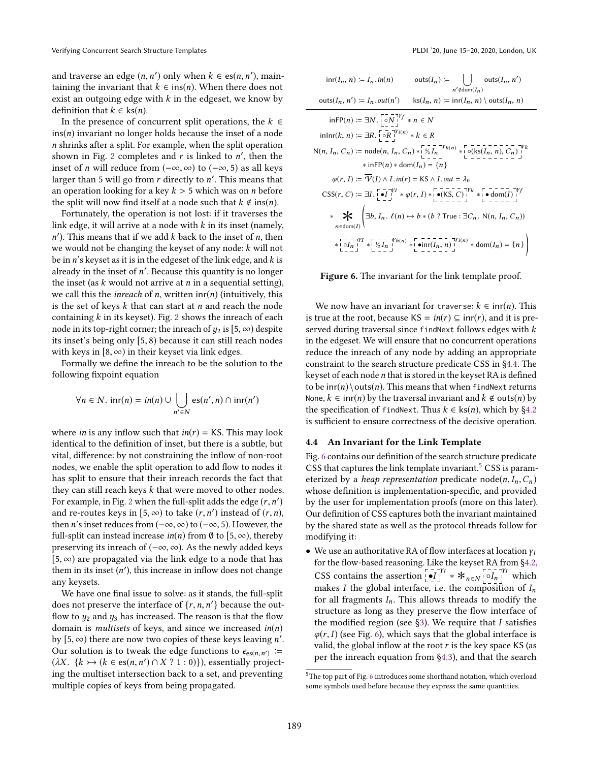and traverse an edge  $(n, n')$  only when  $k \in \text{es}(n, n')$ , maintaining the invariant that  $k \in ins(n)$ . When there does not exist an outgoing edge with  $k$  in the edgeset, we know by definition that  $k \in \text{ks}(n)$ .

In the presence of concurrent split operations, the  $k \in$  $ins(n)$  invariant no longer holds because the inset of a node n shrinks after a split. For example, when the split operation shown in Fig. [2](#page-3-0) completes and  $r$  is linked to  $n'$ , then the inset of *n* will reduce from  $(-\infty, \infty)$  to  $(-\infty, 5)$  as all keys larger than 5 will go from  $r$  directly to  $n'$ . This means that an operation looking for a key  $k > 5$  which was on *n* before the split will now find itself at a node such that  $k \notin \text{ins}(n)$ .

Fortunately, the operation is not lost: if it traverses the link edge, it will arrive at a node with  $k$  in its inset (namely,  $n'$ ). This means that if we add  $k$  back to the inset of  $n$ , then we would not be changing the keyset of any node: k will not be in  $n$ 's keyset as it is in the edgeset of the link edge, and  $k$  is already in the inset of n ′ . Because this quantity is no longer the inset (as  $k$  would not arrive at  $n$  in a sequential setting), we call this the *inreach* of *n*, written  $\text{inr}(n)$  (intuitively, this is the set of keys  $k$  that can start at  $n$  and reach the node containing  $k$  in its keyset). Fig. [2](#page-3-0) shows the inreach of each node in its top-right corner; the inreach of  $y_2$  is [5,  $\infty$ ) despite its inset's being only [5, 8) because it can still reach nodes with keys in  $[8, \infty)$  in their keyset via link edges.

Formally we define the inreach to be the solution to the following fixpoint equation

$$
\forall n \in N. \; \text{inr}(n) = \text{in}(n) \cup \bigcup_{n' \in N} \text{es}(n', n) \cap \text{inr}(n')
$$

where *in* is any inflow such that  $in(r) = KS$ . This may look identical to the definition of inset, but there is a subtle, but vital, difference: by not constraining the inflow of non-root nodes, we enable the split operation to add flow to nodes it has split to ensure that their inreach records the fact that they can still reach keys k that were moved to other nodes. For example, in Fig. [2](#page-3-0) when the full-split adds the edge  $(r, n')$ and re-routes keys in  $[5, \infty)$  to take  $(r, n')$  instead of  $(r, n)$ , then *n*'s inset reduces from  $(-\infty, \infty)$  to  $(-\infty, 5)$ . However, the full-split can instead increase  $in(n)$  from Ø to [5,  $\infty$ ), thereby preserving its inreach of  $(-\infty, \infty)$ . As the newly added keys  $[5, \infty)$  are propagated via the link edge to a node that has them in its inset (n ′ ), this increase in inflow does not change any keysets.

We have one final issue to solve: as it stands, the full-split does not preserve the interface of  $\{r, n, n'\}$  because the outflow to  $y_2$  and  $y_3$  has increased. The reason is that the flow domain is *multisets* of keys, and since we increased  $in(n)$ by  $[5, \infty)$  there are now two copies of these keys leaving n'. Our solution is to tweak the edge functions to  $e_{es(n,n')}$  := ( $\lambda X$ . { $k \rightarrow (k \in \text{es}(n, n') \cap X ? 1 : 0)$ }), essentially projecting the multiset intersection back to a set, and preventing multiple copies of keys from being propagated.

<span id="page-8-1"></span>inr(In, n) ≔ I<sup>n</sup> .in(n) outs(In) ≔ Ø n′<dom(In) outs(In, n ′ ) outs(In, n ′ ) ≔ I<sup>n</sup> .out(n ′ ) ks(In, n) ≔ inr(In, n) \ outs(In, n) inFP(n) ≔ ∃N . ◦N γf ∗ n ∈ N inInr(k, n) ≔ ∃R. ◦R γi(n) ∗ k ∈ R N(n, In, Cn) ≔ node(n, In, Cn) ∗ ½ I<sup>n</sup> γh(n) ∗ ◦(ks(In, n), Cn) γk ∗ inFP(n) ∗ dom(In) = {n} φ(r, I) ≔ V(I) ∧ I .in(r) = KS ∧ I .out = λ<sup>0</sup> CSS(r, C) ≔ ∃I . •I γI ∗ φ(r, I) ∗ •(KS, C) γk ∗ • dom(I) γf ∗ n∈∗dom(I) ∃b, I<sup>n</sup> . ℓ(n) 7→ b ∗ (b ? True : ∃C<sup>n</sup> . N(n, In, Cn)) ∗ ◦I<sup>n</sup> γI ∗ ½ I<sup>n</sup> γh(n) ∗ •inr(In, n) γi(n) ∗ dom(In) = {n} !

Figure 6. The invariant for the link template proof.

We now have an invariant for traverse:  $k \in \text{inr}(n)$ . This is true at the root, because  $KS = in(r) \subseteq in(r)$ , and it is preserved during traversal since findNext follows edges with  $k$ in the edgeset. We will ensure that no concurrent operations reduce the inreach of any node by adding an appropriate constraint to the search structure predicate CSS in [ğ4.4.](#page-8-0) The keyset of each node  $n$  that is stored in the keyset RA is defined to be  $\text{inr}(n) \cdot \text{This means that when findNext returns}$ None,  $k \in \text{inr}(n)$  by the traversal invariant and  $k \notin \text{outs}(n)$  by the specification of findNext. Thus  $k \in \text{ks}(n)$ , which by §4.2 is sufficient to ensure correctness of the decisive operation.

#### <span id="page-8-0"></span>4.4 An Invariant for the Link Template

Fig. [6](#page-8-1) contains our definition of the search structure predicate CSS that captures the link template invariant.<sup>[5](#page-8-2)</sup> CSS is parameterized by a *heap representation* predicate node(n,  $I_n$ ,  $C_n$ ) whose definition is implementation-specific, and provided by the user for implementation proofs (more on this later). Our definition of CSS captures both the invariant maintained by the shared state as well as the protocol threads follow for modifying it:

• We use an authoritative RA of flow interfaces at location  $\gamma_I$ for the flow-based reasoning. Like the keyset RA from [ğ4.2,](#page-6-1) CSS contains the assertion  $\left[\begin{array}{c} \bullet \\ \bullet I \end{array}\right]^{\forall y} * *_{n \in N} \left[\begin{array}{c} \bullet \\ \circ I_n \end{array}\right]^{\forall y}$  which makes I the global interface, i.e. the composition of  $I_n$ for all fragments  $I_n$ . This allows threads to modify the structure as long as they preserve the flow interface of the modified region (see  $\S$ 3). We require that I satisfies  $\varphi(r, I)$  (see Fig. [6\)](#page-8-1), which says that the global interface is valid, the global inflow at the root  $r$  is the key space KS (as per the inreach equation from [ğ4.3\)](#page-7-0), and that the search

<span id="page-8-2"></span><sup>&</sup>lt;sup>5</sup>The top part of Fig. [6](#page-8-1) introduces some shorthand notation, which overload some symbols used before because they express the same quantities.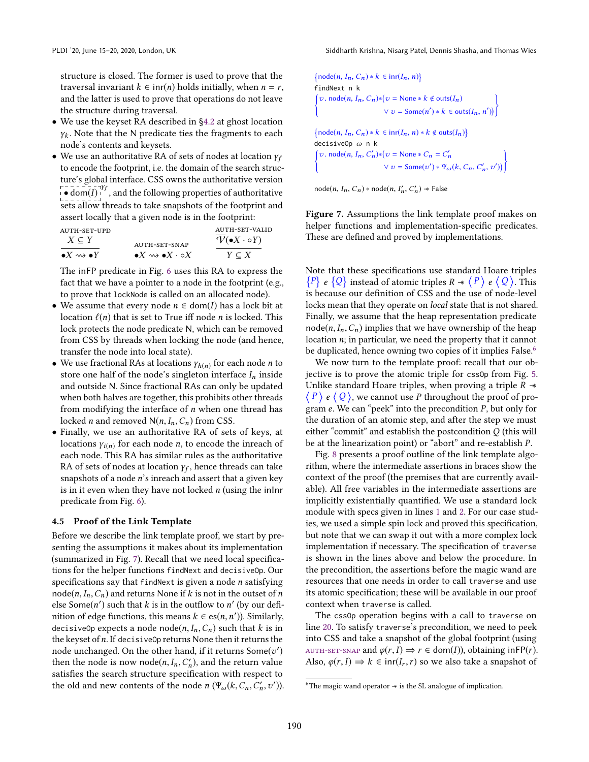structure is closed. The former is used to prove that the traversal invariant  $k \in \text{inr}(n)$  holds initially, when  $n = r$ , and the latter is used to prove that operations do not leave the structure during traversal.

- We use the keyset RA described in [ğ4.2](#page-6-1) at ghost location  $\gamma_k$ . Note that the N predicate ties the fragments to each node's contents and keysets.
- We use an authoritative RA of sets of nodes at location  $\gamma_f$ to encode the footprint, i.e. the domain of the search structure's global interface. CSS owns the authoritative version  $\bullet$  dom(I)<sup>-1</sup>, and the following properties of authoritative sets allow threads to take snapshots of the footprint and assert locally that a given node is in the footprint:

| AUTH-SET-UPD<br>$X \subseteq Y$        | AUTH-SET-SNAP                                        | AUTH-SET-VALID<br>$\mathcal{V}(\bullet X \cdot \circ Y)$ |  |
|----------------------------------------|------------------------------------------------------|----------------------------------------------------------|--|
| $\bullet X \rightsquigarrow \bullet Y$ | $\bullet X \rightsquigarrow \bullet X \cdot \circ X$ | $Y \subset X$                                            |  |

The inFP predicate in Fig. [6](#page-8-1) uses this RA to express the fact that we have a pointer to a node in the footprint (e.g., to prove that lockNode is called on an allocated node).

- We assume that every node  $n \in \text{dom}(I)$  has a lock bit at location  $\ell(n)$  that is set to True iff node *n* is locked. This lock protects the node predicate N, which can be removed from CSS by threads when locking the node (and hence, transfer the node into local state).
- We use fractional RAs at locations  $\gamma_{h(n)}$  for each node *n* to store one half of the node's singleton interface  $I_n$  inside and outside N. Since fractional RAs can only be updated when both halves are together, this prohibits other threads from modifying the interface of  $n$  when one thread has locked *n* and removed  $N(n, I_n, C_n)$  from CSS.
- Finally, we use an authoritative RA of sets of keys, at locations  $\gamma_{i(n)}$  for each node *n*, to encode the inreach of each node. This RA has similar rules as the authoritative RA of sets of nodes at location  $\gamma_f$ , hence threads can take snapshots of a node  $n$ 's inreach and assert that a given key is in it even when they have not locked  $n$  (using the inInr predicate from Fig. [6\)](#page-8-1).

#### 4.5 Proof of the Link Template

Before we describe the link template proof, we start by presenting the assumptions it makes about its implementation (summarized in Fig. [7\)](#page-9-0). Recall that we need local specifications for the helper functions findNext and decisiveOp. Our specifications say that findNext is given a node  $n$  satisfying  $node(n, I_n, C_n)$  and returns None if k is not in the outset of n else Some( $n'$ ) such that k is in the outflow to  $n'$  (by our definition of edge functions, this means  $k \in \text{es}(n, n')$ ). Similarly, decisive Op expects a node node  $(n, I_n, C_n)$  such that k is in the keyset of n. If decisiveOp returns None then it returns the node unchanged. On the other hand, if it returns  $\mathsf{Some}(v')$ then the node is now node( $n, I_n, C'_n$ ), and the return value satisfies the search structure specification with respect to the old and new contents of the node  $n (\Psi_{\omega}(k, C_n, C'_n, v')).$ 

<span id="page-9-0"></span>{node(n, I<sub>n</sub>, C<sub>n</sub>) \* k ∈ int(I<sub>n</sub>, n)}  
\nfindNext n k  
\n
$$
\left\{\n\begin{array}{l}\nv.\n\operatorname{node}(n, I_n, C_n) * (v = \text{None} * k \notin \operatorname{outs}(I_n) \\
& \vee v = \operatorname{Some}(n') * k ∈ \operatorname{outs}(I_n, n'))\n\end{array}\n\right\}
$$
\n{node(n, I<sub>n</sub>, C<sub>n</sub>) \* k ∈ int(I<sub>n</sub>, n) \* k ∉ outs(I<sub>n</sub>)}  
\ndecisiveOp ω n k  
\n
$$
\left\{\n\begin{array}{l}\nv.\n\operatorname{node}(n, I_n, C'_n) * (v = \text{None} * C_n = C'_n \\
& \vee v = \operatorname{Some}(v') * \Psi_\omega(k, C_n, C'_n, v')\n\end{array}\n\right\}
$$

node $(n, I_n, C_n) * \text{node}(n, I'_n, C'_n) * \text{False}$ 

Figure 7. Assumptions the link template proof makes on helper functions and implementation-specific predicates. These are defined and proved by implementations.

<span id="page-9-2"></span>Note that these specifications use standard Hoare triples  $\{P\}$  e  $\{Q\}$  instead of atomic triples  $R \ast \{P\}$  e  $\{Q\}$ . This is because our definition of CSS and the use of node-level locks mean that they operate on local state that is not shared. Finally, we assume that the heap representation predicate node( $n, I_n, C_n$ ) implies that we have ownership of the heap location n; in particular, we need the property that it cannot be duplicated, hence owning two copies of it implies False.<sup>[6](#page-9-1)</sup>

We now turn to the template proof: recall that our objective is to prove the atomic triple for cssOp from Fig. [5.](#page-6-0) Unlike standard Hoare triples, when proving a triple  $R \rightarrow \infty$  $\langle P \rangle$  e  $\langle Q \rangle$ , we cannot use P throughout the proof of program  $e$ . We can "peek" into the precondition  $P$ , but only for the duration of an atomic step, and after the step we must either "commit" and establish the postcondition  $Q$  (this will be at the linearization point) or "abort" and re-establish  $P$ .

Fig. [8](#page-10-1) presents a proof outline of the link template algorithm, where the intermediate assertions in braces show the context of the proof (the premises that are currently available). All free variables in the intermediate assertions are implicitly existentially quantified. We use a standard lock module with specs given in lines [1](#page-10-2) and [2.](#page-10-3) For our case studies, we used a simple spin lock and proved this specification, but note that we can swap it out with a more complex lock implementation if necessary. The specification of traverse is shown in the lines above and below the procedure. In the precondition, the assertions before the magic wand are resources that one needs in order to call traverse and use its atomic specification; these will be available in our proof context when traverse is called.

The cssOp operation begins with a call to traverse on line [20.](#page-10-4) To satisfy traverse's precondition, we need to peek into CSS and take a snapshot of the global footprint (using AUTH-SET-SNAP and  $\varphi(r, I) \Rightarrow r \in \text{dom}(I)$ , obtaining in FP(*r*). Also,  $\varphi(r, I) \Rightarrow k \in \text{inr}(I_r, r)$  so we also take a snapshot of

<span id="page-9-1"></span><sup>6</sup>The magic wand operator −∗ is the SL analogue of implication.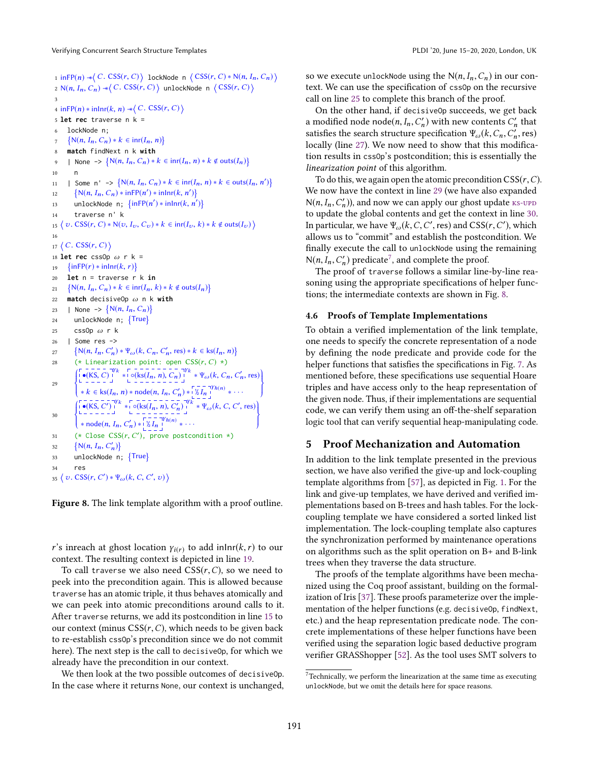Verifying Concurrent Search Structure Templates **PLDI** '20, June 15-20, 2020, London, UK

```
1 inFP(n) \ast \langle C. \text{CSS}(r, C) \rangle lockNode n \langle \text{CSS}(r, C) \ast \text{N}(n, I_n, C_n) \rangle\mathcal{O} \times \mathcal{O}(n,\,I_n,\,C_n) \twoheadrightarrow \bigg\langle\, C.\;\mathsf{CSS}(r,\,C) \,\bigg\rangle unlockNode n \big\langle\, \mathsf{CSS}(r,\,C) \,\big\rangle3
  4 in FP(n) * in lnr(k, n) * ( C. CSS(r, C) \}5 let rec traverse n k =
 6 lockNode n;
  7
        \{N(n, I_n, C_n) * k \in \text{inr}(I_n, n)\}\8 match findNext n k with
  9 | None -> \{N(n, I_n, C_n) * k \in \text{inr}(I_n, n) * k \notin \text{outs}(I_n)\}1011 | Some n' -> \{N(n, I_n, C_n) * k \in \text{inr}(I_n, n) * k \in \text{outs}(I_n, n')\}12 \{N(n, I_n, C_n) * inFP(n') * inInr(k, n')\}13 unlockNode n; \{\inf P(n') * inInr(k, n')\}14 traverse n' k
15 \langle v. \text{CSS}(r, C) * \mathsf{N}(v, I_v, C_v) * k \in \text{inr}(I_v, k) * k \notin \text{outs}(I_v) \rangle16
17 \langle C. \mathsf{CSS}(r, C) \rangle18 let rec cssOp \omega r k =
19 
          inFP(r) * inInr(k, r)20 let n = traverse r k in
21 \{N(n, I_n, C_n) * k \in \text{inr}(I_n, k) * k \notin \text{outs}(I_n)\}\22 match decisiveOp ω n k with
23 | None -> \{N(n, I_n, C_n)\}24 unlockNode n; {True}
25 css0p \omega r k
26 | Some res ->
27 \{N(n, I_n, C'_n) * \Psi_{\omega}(k, C_n, C'_n, \text{res}) * k \in \text{ks}(I_n, n)\}28 (* Linearization point: open CSS(r, C) \times)
29
           \left\{\begin{bmatrix} \bullet(KS, C) \\ \bullet(KS, C) \end{bmatrix} \begin{bmatrix} Yk & \bullet & (Ks(I_n, n), C_n) \\ \bullet & (Ks(I_n, n), C_n) \end{bmatrix} \begin{bmatrix} Yk & \Psi_{\omega}(k, C_n, C'_n, \text{res}) \\ \bullet & (Ks(I_n, n), C'_n) \end{bmatrix} \right\}\frac{1}{2}* k \in \text{ks}(I_n, n) * \text{node}(n, I_n, C'_n) * \left[\overline{\gamma}_2 \overline{I_n}^{\text{ty}}\right]^{(n)} * \cdotsJ
                                                                                                      ſ,
30
           Į
           \overline{\mathcal{L}}31 (* Close CSS(r, C'), prove postcondition *)
               •(KS, C')<sup>1</sup><sup>k</sup> * \frac{1}{\log(kS(I_n, n), C'_n)}<sup>Vk</sup> * \Psi_{\omega}(k, C, C', res)* node(n, I_n, C'_n) * |\nmid I_n |^{\n} \times \cdotsļ
                                                                                                    \frac{1}{2}32 
             N(n, I_n, C'_n)33 unlockNode n; {True}
34 res
35 \langle v. \, \text{CSS}(r, C') * \Psi_{\omega}(k, C, C', v) \rangle
```
<span id="page-10-10"></span><span id="page-10-9"></span><span id="page-10-8"></span><span id="page-10-7"></span>Figure 8. The link template algorithm with a proof outline.

r's inreach at ghost location  $\gamma_{i(r)}$  to add inlnr(k, r) to our context. The resulting context is depicted in line [19.](#page-10-5)

To call traverse we also need  $CSS(r, C)$ , so we need to peek into the precondition again. This is allowed because traverse has an atomic triple, it thus behaves atomically and we can peek into atomic preconditions around calls to it. After traverse returns, we add its postcondition in line [15](#page-10-6) to our context (minus  $CSS(r, C)$ , which needs to be given back to re-establish cssOp's precondition since we do not commit here). The next step is the call to decisiveOp, for which we already have the precondition in our context.

We then look at the two possible outcomes of decisiveOp. In the case where it returns None, our context is unchanged, so we execute unlockNode using the  $N(n, I_n, C_n)$  in our context. We can use the specification of cssOp on the recursive call on line [25](#page-10-7) to complete this branch of the proof.

On the other hand, if decisiveOp succeeds, we get back a modified node  $node(n, I_n, C'_n)$  with new contents  $C'_n$  that satisfies the search structure specification  $\Psi_{\omega}(k, C_n, C'_n, \text{res})$ locally (line [27\)](#page-10-8). We now need to show that this modification results in cssOp's postcondition; this is essentially the linearization point of this algorithm.

To do this, we again open the atomic precondition  $CSS(r, C)$ . We now have the context in line [29](#page-10-9) (we have also expanded  $N(n, I_n, C'_n)$ , and now we can apply our ghost update  $ks$ -upd to update the global contents and get the context in line [30.](#page-10-10) In particular, we have  $\Psi_{\omega} (k, C, C', \text{res})$  and  $CSS(r, C'),$  which allows us to "commit" and establish the postcondition. We finally execute the call to unlockNode using the remaining  $N(n, I_n, C'_n)$  predicate<sup>[7](#page-10-11)</sup>, and complete the proof.

The proof of traverse follows a similar line-by-line reasoning using the appropriate specifications of helper functions; the intermediate contexts are shown in Fig. [8.](#page-10-1)

#### 4.6 Proofs of Template Implementations

To obtain a verified implementation of the link template, one needs to specify the concrete representation of a node by defining the node predicate and provide code for the helper functions that satisfies the specifications in Fig. [7.](#page-9-0) As mentioned before, these specifications use sequential Hoare triples and have access only to the heap representation of the given node. Thus, if their implementations are sequential code, we can verify them using an off-the-shelf separation logic tool that can verify sequential heap-manipulating code.

# <span id="page-10-0"></span>5 Proof Mechanization and Automation

In addition to the link template presented in the previous section, we have also verified the give-up and lock-coupling template algorithms from [\[57\]](#page-15-8), as depicted in Fig. [1.](#page-1-0) For the link and give-up templates, we have derived and verified implementations based on B-trees and hash tables. For the lockcoupling template we have considered a sorted linked list implementation. The lock-coupling template also captures the synchronization performed by maintenance operations on algorithms such as the split operation on B+ and B-link trees when they traverse the data structure.

The proofs of the template algorithms have been mechanized using the Coq proof assistant, building on the formalization of Iris [\[37\]](#page-14-5). These proofs parameterize over the implementation of the helper functions (e.g. decisiveOp, findNext, etc.) and the heap representation predicate node. The concrete implementations of these helper functions have been verified using the separation logic based deductive program verifier GRASShopper [\[52\]](#page-15-10). As the tool uses SMT solvers to

<span id="page-10-11"></span> $7$ Technically, we perform the linearization at the same time as executing unlockNode, but we omit the details here for space reasons.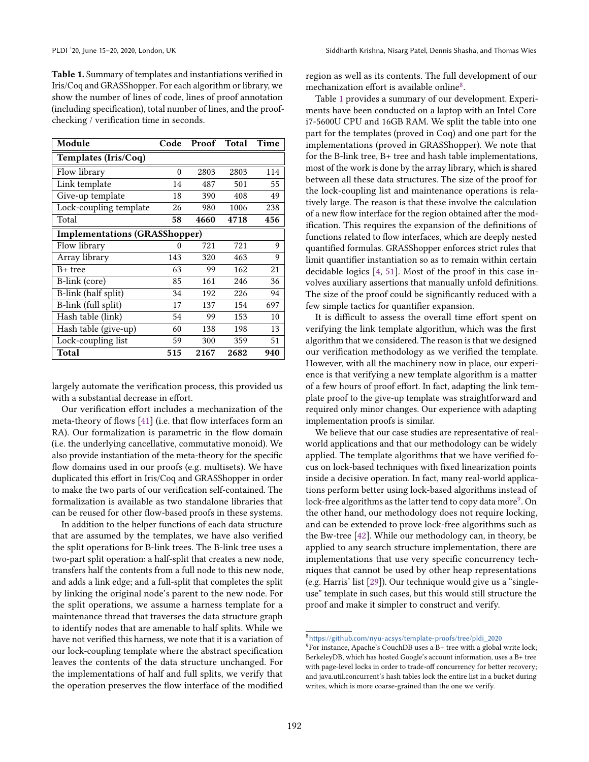<span id="page-11-1"></span>Table 1. Summary of templates and instantiations verified in Iris/Coq and GRASShopper. For each algorithm or library, we show the number of lines of code, lines of proof annotation (including specification), total number of lines, and the proofchecking / verification time in seconds.

| Module                               | Code     | Proof | <b>Total</b> | Time |  |  |  |
|--------------------------------------|----------|-------|--------------|------|--|--|--|
| Templates (Iris/Coq)                 |          |       |              |      |  |  |  |
| Flow library                         | $\theta$ | 2803  | 2803         | 114  |  |  |  |
| Link template                        | 14       | 487   | 501          | 55   |  |  |  |
| Give-up template                     | 18       | 390   | 408          | 49   |  |  |  |
| Lock-coupling template               | 26       | 980   | 1006         | 238  |  |  |  |
| Total                                | 58       | 4660  | 4718         | 456  |  |  |  |
| <b>Implementations (GRASShopper)</b> |          |       |              |      |  |  |  |
| Flow library                         | 0        | 721   | 721          | 9    |  |  |  |
| Array library                        | 143      | 320   | 463          | 9    |  |  |  |
| B+ tree                              | 63       | 99    | 162          | 21   |  |  |  |
| B-link (core)                        | 85       | 161   | 246          | 36   |  |  |  |
| B-link (half split)                  | 34       | 192   | 226          | 94   |  |  |  |
| B-link (full split)                  | 17       | 137   | 154          | 697  |  |  |  |
| Hash table (link)                    | 54       | 99    | 153          | 10   |  |  |  |
| Hash table (give-up)                 | 60       | 138   | 198          | 13   |  |  |  |
| Lock-coupling list                   | 59       | 300   | 359          | 51   |  |  |  |
| Total                                | 515      | 2167  | 2682         | 940  |  |  |  |

largely automate the verification process, this provided us with a substantial decrease in effort.

Our verification effort includes a mechanization of the meta-theory of flows [\[41\]](#page-14-11) (i.e. that flow interfaces form an RA). Our formalization is parametric in the flow domain (i.e. the underlying cancellative, commutative monoid). We also provide instantiation of the meta-theory for the specific flow domains used in our proofs (e.g. multisets). We have duplicated this effort in Iris/Coq and GRASShopper in order to make the two parts of our verification self-contained. The formalization is available as two standalone libraries that can be reused for other flow-based proofs in these systems.

In addition to the helper functions of each data structure that are assumed by the templates, we have also verified the split operations for B-link trees. The B-link tree uses a two-part split operation: a half-split that creates a new node, transfers half the contents from a full node to this new node, and adds a link edge; and a full-split that completes the split by linking the original node's parent to the new node. For the split operations, we assume a harness template for a maintenance thread that traverses the data structure graph to identify nodes that are amenable to half splits. While we have not verified this harness, we note that it is a variation of our lock-coupling template where the abstract specification leaves the contents of the data structure unchanged. For the implementations of half and full splits, we verify that the operation preserves the flow interface of the modified

region as well as its contents. The full development of our mechanization effort is available online<sup>[8](#page-11-0)</sup>.

Table [1](#page-11-1) provides a summary of our development. Experiments have been conducted on a laptop with an Intel Core i7-5600U CPU and 16GB RAM. We split the table into one part for the templates (proved in Coq) and one part for the implementations (proved in GRASShopper). We note that for the B-link tree, B+ tree and hash table implementations, most of the work is done by the array library, which is shared between all these data structures. The size of the proof for the lock-coupling list and maintenance operations is relatively large. The reason is that these involve the calculation of a new flow interface for the region obtained after the modification. This requires the expansion of the definitions of functions related to flow interfaces, which are deeply nested quantified formulas. GRASShopper enforces strict rules that limit quantifier instantiation so as to remain within certain decidable logics [\[4,](#page-13-8) [51\]](#page-15-9). Most of the proof in this case involves auxiliary assertions that manually unfold definitions. The size of the proof could be significantly reduced with a few simple tactics for quantifier expansion.

It is difficult to assess the overall time effort spent on verifying the link template algorithm, which was the first algorithm that we considered. The reason is that we designed our verification methodology as we verified the template. However, with all the machinery now in place, our experience is that verifying a new template algorithm is a matter of a few hours of proof effort. In fact, adapting the link template proof to the give-up template was straightforward and required only minor changes. Our experience with adapting implementation proofs is similar.

We believe that our case studies are representative of realworld applications and that our methodology can be widely applied. The template algorithms that we have verified focus on lock-based techniques with fixed linearization points inside a decisive operation. In fact, many real-world applications perform better using lock-based algorithms instead of lock-free algorithms as the latter tend to copy data more $^9$  $^9$ . On the other hand, our methodology does not require locking, and can be extended to prove lock-free algorithms such as the Bw-tree [\[42\]](#page-14-13). While our methodology can, in theory, be applied to any search structure implementation, there are implementations that use very specific concurrency techniques that cannot be used by other heap representations (e.g. Harris' list [\[29\]](#page-14-14)). Our technique would give us a "singleuse" template in such cases, but this would still structure the proof and make it simpler to construct and verify.

<span id="page-11-0"></span><sup>8</sup>[https://github.com/nyu-acsys/template-proofs/tree/pldi\\_2020](https://github.com/nyu-acsys/template-proofs/tree/pldi_2020)

<span id="page-11-2"></span> $9^9$ For instance, Apache's CouchDB uses a B+ tree with a global write lock; BerkeleyDB, which has hosted Google's account information, uses a B+ tree with page-level locks in order to trade-off concurrency for better recovery; and java.util.concurrent's hash tables lock the entire list in a bucket during writes, which is more coarse-grained than the one we verify.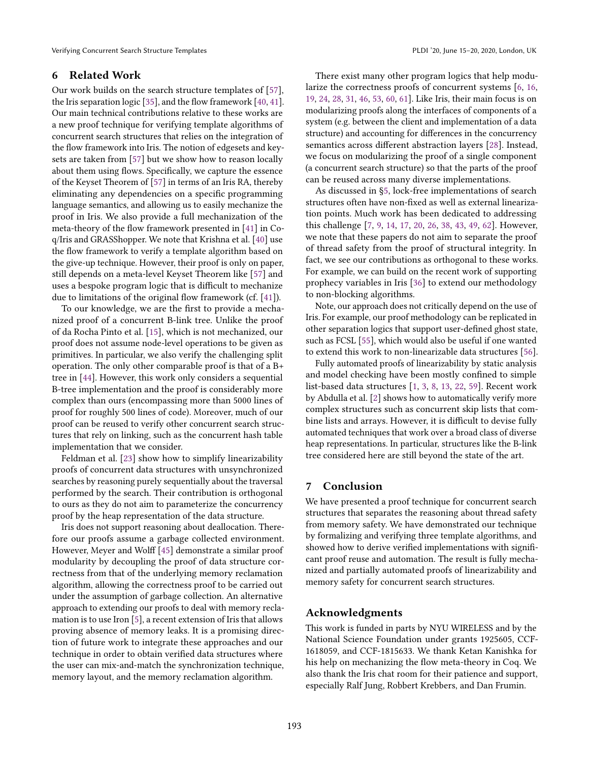# 6 Related Work

Our work builds on the search structure templates of [\[57\]](#page-15-8), the Iris separation logic [\[35\]](#page-14-7), and the flow framework [\[40,](#page-14-10) [41\]](#page-14-11). Our main technical contributions relative to these works are a new proof technique for verifying template algorithms of concurrent search structures that relies on the integration of the flow framework into Iris. The notion of edgesets and keysets are taken from [\[57\]](#page-15-8) but we show how to reason locally about them using flows. Specifically, we capture the essence of the Keyset Theorem of [\[57\]](#page-15-8) in terms of an Iris RA, thereby eliminating any dependencies on a specific programming language semantics, and allowing us to easily mechanize the proof in Iris. We also provide a full mechanization of the meta-theory of the flow framework presented in [\[41\]](#page-14-11) in Coq/Iris and GRASShopper. We note that Krishna et al. [\[40\]](#page-14-10) use the flow framework to verify a template algorithm based on the give-up technique. However, their proof is only on paper, still depends on a meta-level Keyset Theorem like [\[57\]](#page-15-8) and uses a bespoke program logic that is difficult to mechanize due to limitations of the original flow framework (cf. [\[41\]](#page-14-11)).

To our knowledge, we are the first to provide a mechanized proof of a concurrent B-link tree. Unlike the proof of da Rocha Pinto et al. [\[15\]](#page-13-6), which is not mechanized, our proof does not assume node-level operations to be given as primitives. In particular, we also verify the challenging split operation. The only other comparable proof is that of a B+ tree in [\[44\]](#page-14-15). However, this work only considers a sequential B-tree implementation and the proof is considerably more complex than ours (encompassing more than 5000 lines of proof for roughly 500 lines of code). Moreover, much of our proof can be reused to verify other concurrent search structures that rely on linking, such as the concurrent hash table implementation that we consider.

Feldman et al. [\[23\]](#page-14-16) show how to simplify linearizability proofs of concurrent data structures with unsynchronized searches by reasoning purely sequentially about the traversal performed by the search. Their contribution is orthogonal to ours as they do not aim to parameterize the concurrency proof by the heap representation of the data structure.

Iris does not support reasoning about deallocation. Therefore our proofs assume a garbage collected environment. However, Meyer and Wolff [\[45\]](#page-15-11) demonstrate a similar proof modularity by decoupling the proof of data structure correctness from that of the underlying memory reclamation algorithm, allowing the correctness proof to be carried out under the assumption of garbage collection. An alternative approach to extending our proofs to deal with memory reclamation is to use Iron [\[5\]](#page-13-9), a recent extension of Iris that allows proving absence of memory leaks. It is a promising direction of future work to integrate these approaches and our technique in order to obtain verified data structures where the user can mix-and-match the synchronization technique, memory layout, and the memory reclamation algorithm.

There exist many other program logics that help modularize the correctness proofs of concurrent systems [\[6,](#page-13-10) [16,](#page-13-2) [19,](#page-13-4) [24,](#page-14-3) [28,](#page-14-17) [31,](#page-14-18) [46,](#page-15-4) [53,](#page-15-12) [60,](#page-15-7) [61\]](#page-15-13). Like Iris, their main focus is on modularizing proofs along the interfaces of components of a system (e.g. between the client and implementation of a data structure) and accounting for differences in the concurrency semantics across different abstraction layers [\[28\]](#page-14-17). Instead, we focus on modularizing the proof of a single component (a concurrent search structure) so that the parts of the proof can be reused across many diverse implementations.

As discussed in [ğ5,](#page-10-0) lock-free implementations of search structures often have non-fixed as well as external linearization points. Much work has been dedicated to addressing this challenge [\[7,](#page-13-11) [9,](#page-13-12) [14,](#page-13-13) [17,](#page-13-14) [20,](#page-13-15) [26,](#page-14-19) [38,](#page-14-20) [43,](#page-14-21) [49,](#page-15-14) [62\]](#page-15-15). However, we note that these papers do not aim to separate the proof of thread safety from the proof of structural integrity. In fact, we see our contributions as orthogonal to these works. For example, we can build on the recent work of supporting prophecy variables in Iris [\[36\]](#page-14-9) to extend our methodology to non-blocking algorithms.

Note, our approach does not critically depend on the use of Iris. For example, our proof methodology can be replicated in other separation logics that support user-defined ghost state, such as FCSL [\[55\]](#page-15-16), which would also be useful if one wanted to extend this work to non-linearizable data structures [\[56\]](#page-15-17).

Fully automated proofs of linearizability by static analysis and model checking have been mostly confined to simple list-based data structures [\[1,](#page-13-16) [3,](#page-13-17) [8,](#page-13-18) [13,](#page-13-19) [22,](#page-13-20) [59\]](#page-15-18). Recent work by Abdulla et al. [\[2\]](#page-13-21) shows how to automatically verify more complex structures such as concurrent skip lists that combine lists and arrays. However, it is difficult to devise fully automated techniques that work over a broad class of diverse heap representations. In particular, structures like the B-link tree considered here are still beyond the state of the art.

# 7 Conclusion

We have presented a proof technique for concurrent search structures that separates the reasoning about thread safety from memory safety. We have demonstrated our technique by formalizing and verifying three template algorithms, and showed how to derive verified implementations with significant proof reuse and automation. The result is fully mechanized and partially automated proofs of linearizability and memory safety for concurrent search structures.

# Acknowledgments

This work is funded in parts by NYU WIRELESS and by the National Science Foundation under grants 1925605, CCF-1618059, and CCF-1815633. We thank Ketan Kanishka for his help on mechanizing the flow meta-theory in Coq. We also thank the Iris chat room for their patience and support, especially Ralf Jung, Robbert Krebbers, and Dan Frumin.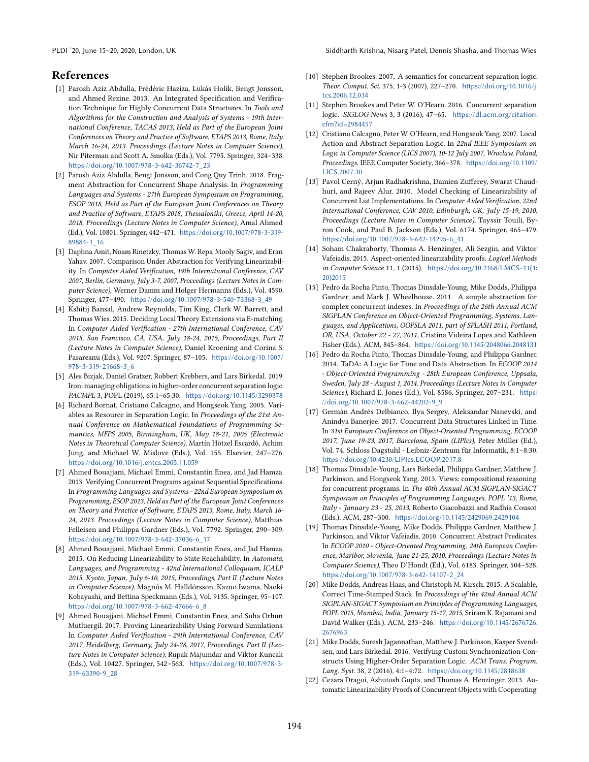# References

- <span id="page-13-16"></span>[1] Parosh Aziz Abdulla, Frédéric Haziza, Lukás Holík, Bengt Jonsson, and Ahmed Rezine. 2013. An Integrated Specification and Verification Technique for Highly Concurrent Data Structures. In Tools and Algorithms for the Construction and Analysis of Systems - 19th International Conference, TACAS 2013, Held as Part of the European Joint Conferences on Theory and Practice of Software, ETAPS 2013, Rome, Italy, March 16-24, 2013. Proceedings (Lecture Notes in Computer Science), Nir Piterman and Scott A. Smolka (Eds.), Vol. 7795. Springer, 324-338. [https://doi.org/10.1007/978-3-642-36742-7\\_23](https://doi.org/10.1007/978-3-642-36742-7_23)
- <span id="page-13-21"></span>[2] Parosh Aziz Abdulla, Bengt Jonsson, and Cong Quy Trinh. 2018. Fragment Abstraction for Concurrent Shape Analysis. In Programming Languages and Systems - 27th European Symposium on Programming, ESOP 2018, Held as Part of the European Joint Conferences on Theory and Practice of Software, ETAPS 2018, Thessaloniki, Greece, April 14-20, 2018, Proceedings (Lecture Notes in Computer Science), Amal Ahmed (Ed.), Vol. 10801. Springer, 442-471. [https://doi.org/10.1007/978-3-319-](https://doi.org/10.1007/978-3-319-89884-1_16) [89884-1\\_16](https://doi.org/10.1007/978-3-319-89884-1_16)
- <span id="page-13-17"></span>[3] Daphna Amit, Noam Rinetzky, Thomas W. Reps, Mooly Sagiv, and Eran Yahav. 2007. Comparison Under Abstraction for Verifying Linearizability. In Computer Aided Verification, 19th International Conference, CAV 2007, Berlin, Germany, July 3-7, 2007, Proceedings (Lecture Notes in Computer Science), Werner Damm and Holger Hermanns (Eds.), Vol. 4590. Springer, 477-490. [https://doi.org/10.1007/978-3-540-73368-3\\_49](https://doi.org/10.1007/978-3-540-73368-3_49)
- <span id="page-13-8"></span>[4] Kshitij Bansal, Andrew Reynolds, Tim King, Clark W. Barrett, and Thomas Wies. 2015. Deciding Local Theory Extensions via E-matching. In Computer Aided Verification - 27th International Conference, CAV 2015, San Francisco, CA, USA, July 18-24, 2015, Proceedings, Part II (Lecture Notes in Computer Science), Daniel Kroening and Corina S. Pasareanu (Eds.), Vol. 9207. Springer, 87-105. [https://doi.org/10.1007/](https://doi.org/10.1007/978-3-319-21668-3_6) [978-3-319-21668-3\\_6](https://doi.org/10.1007/978-3-319-21668-3_6)
- <span id="page-13-9"></span>[5] Ales Bizjak, Daniel Gratzer, Robbert Krebbers, and Lars Birkedal. 2019. Iron: managing obligations in higher-order concurrent separation logic. PACMPL 3, POPL (2019), 65:1-65:30. <https://doi.org/10.1145/3290378>
- <span id="page-13-10"></span>[6] Richard Bornat, Cristiano Calcagno, and Hongseok Yang. 2005. Variables as Resource in Separation Logic. In Proceedings of the 21st Annual Conference on Mathematical Foundations of Programming Semantics, MFPS 2005, Birmingham, UK, May 18-21, 2005 (Electronic Notes in Theoretical Computer Science), Martín Hötzel Escardó, Achim Jung, and Michael W. Mislove (Eds.), Vol. 155. Elsevier, 247-276. <https://doi.org/10.1016/j.entcs.2005.11.059>
- <span id="page-13-11"></span>[7] Ahmed Bouajjani, Michael Emmi, Constantin Enea, and Jad Hamza. 2013. Verifying Concurrent Programs against Sequential Specifications. In Programming Languages and Systems - 22nd European Symposium on Programming, ESOP 2013, Held as Part of the European Joint Conferences on Theory and Practice of Software, ETAPS 2013, Rome, Italy, March 16- 24, 2013. Proceedings (Lecture Notes in Computer Science), Matthias Felleisen and Philippa Gardner (Eds.), Vol. 7792. Springer, 290-309. [https://doi.org/10.1007/978-3-642-37036-6\\_17](https://doi.org/10.1007/978-3-642-37036-6_17)
- <span id="page-13-18"></span>[8] Ahmed Bouajjani, Michael Emmi, Constantin Enea, and Jad Hamza. 2015. On Reducing Linearizability to State Reachability. In Automata, Languages, and Programming - 42nd International Colloquium, ICALP 2015, Kyoto, Japan, July 6-10, 2015, Proceedings, Part II (Lecture Notes in Computer Science), Magnús M. Halldórsson, Kazuo Iwama, Naoki Kobayashi, and Bettina Speckmann (Eds.), Vol. 9135. Springer, 95-107. [https://doi.org/10.1007/978-3-662-47666-6\\_8](https://doi.org/10.1007/978-3-662-47666-6_8)
- <span id="page-13-12"></span>[9] Ahmed Bouajjani, Michael Emmi, Constantin Enea, and Suha Orhun Mutluergil. 2017. Proving Linearizability Using Forward Simulations. In Computer Aided Verification - 29th International Conference, CAV 2017, Heidelberg, Germany, July 24-28, 2017, Proceedings, Part II (Lecture Notes in Computer Science), Rupak Majumdar and Viktor Kuncak (Eds.), Vol. 10427. Springer, 542-563. [https://doi.org/10.1007/978-3-](https://doi.org/10.1007/978-3-319-63390-9_28) [319-63390-9\\_28](https://doi.org/10.1007/978-3-319-63390-9_28)
- <span id="page-13-0"></span>[10] Stephen Brookes. 2007. A semantics for concurrent separation logic. Theor. Comput. Sci. 375, 1-3 (2007), 227-270. [https://doi.org/10.1016/j.](https://doi.org/10.1016/j.tcs.2006.12.034) [tcs.2006.12.034](https://doi.org/10.1016/j.tcs.2006.12.034)
- <span id="page-13-1"></span>[11] Stephen Brookes and Peter W. O'Hearn. 2016. Concurrent separation logic. SIGLOG News 3, 3 (2016), 47-65. [https://dl.acm.org/citation.](https://dl.acm.org/citation.cfm?id=2984457) [cfm?id=2984457](https://dl.acm.org/citation.cfm?id=2984457)
- <span id="page-13-7"></span>[12] Cristiano Calcagno, Peter W. O'Hearn, and Hongseok Yang. 2007. Local Action and Abstract Separation Logic. In 22nd IEEE Symposium on Logic in Computer Science (LICS 2007), 10-12 July 2007, Wroclaw, Poland, Proceedings. IEEE Computer Society, 366-378. [https://doi.org/10.1109/](https://doi.org/10.1109/LICS.2007.30) [LICS.2007.30](https://doi.org/10.1109/LICS.2007.30)
- <span id="page-13-19"></span>[13] Pavol Cerný, Arjun Radhakrishna, Damien Zufferey, Swarat Chaudhuri, and Rajeev Alur. 2010. Model Checking of Linearizability of Concurrent List Implementations. In Computer Aided Verification, 22nd International Conference, CAV 2010, Edinburgh, UK, July 15-19, 2010. Proceedings (Lecture Notes in Computer Science), Tayssir Touili, Byron Cook, and Paul B. Jackson (Eds.), Vol. 6174. Springer, 465-479. [https://doi.org/10.1007/978-3-642-14295-6\\_41](https://doi.org/10.1007/978-3-642-14295-6_41)
- <span id="page-13-13"></span>[14] Soham Chakraborty, Thomas A. Henzinger, Ali Sezgin, and Viktor Vafeiadis. 2015. Aspect-oriented linearizability proofs. Logical Methods in Computer Science 11, 1 (2015). [https://doi.org/10.2168/LMCS-11\(1:](https://doi.org/10.2168/LMCS-11(1:20)2015) [20\)2015](https://doi.org/10.2168/LMCS-11(1:20)2015)
- <span id="page-13-6"></span>[15] Pedro da Rocha Pinto, Thomas Dinsdale-Young, Mike Dodds, Philippa Gardner, and Mark J. Wheelhouse. 2011. A simple abstraction for complex concurrent indexes. In Proceedings of the 26th Annual ACM SIGPLAN Conference on Object-Oriented Programming, Systems, Languages, and Applications, OOPSLA 2011, part of SPLASH 2011, Portland, OR, USA, October 22 - 27, 2011, Cristina Videira Lopes and Kathleen Fisher (Eds.). ACM, 845-864. <https://doi.org/10.1145/2048066.2048131>
- <span id="page-13-2"></span>[16] Pedro da Rocha Pinto, Thomas Dinsdale-Young, and Philippa Gardner. 2014. TaDA: A Logic for Time and Data Abstraction. In ECOOP 2014 - Object-Oriented Programming - 28th European Conference, Uppsala, Sweden, July 28 - August 1, 2014. Proceedings (Lecture Notes in Computer Science), Richard E. Jones (Ed.), Vol. 8586. Springer, 207-231. [https:](https://doi.org/10.1007/978-3-662-44202-9_9) [//doi.org/10.1007/978-3-662-44202-9\\_9](https://doi.org/10.1007/978-3-662-44202-9_9)
- <span id="page-13-14"></span>[17] Germán Andrés Delbianco, Ilya Sergey, Aleksandar Nanevski, and Anindya Banerjee. 2017. Concurrent Data Structures Linked in Time. In 31st European Conference on Object-Oriented Programming, ECOOP 2017, June 19-23, 2017, Barcelona, Spain (LIPIcs), Peter Müller (Ed.), Vol. 74. Schloss Dagstuhl - Leibniz-Zentrum für Informatik, 8:1-8:30. <https://doi.org/10.4230/LIPIcs.ECOOP.2017.8>
- <span id="page-13-3"></span>[18] Thomas Dinsdale-Young, Lars Birkedal, Philippa Gardner, Matthew J. Parkinson, and Hongseok Yang. 2013. Views: compositional reasoning for concurrent programs. In The 40th Annual ACM SIGPLAN-SIGACT Symposium on Principles of Programming Languages, POPL '13, Rome, Italy - January 23 - 25, 2013, Roberto Giacobazzi and Radhia Cousot (Eds.). ACM, 287-300. <https://doi.org/10.1145/2429069.2429104>
- <span id="page-13-4"></span>[19] Thomas Dinsdale-Young, Mike Dodds, Philippa Gardner, Matthew J. Parkinson, and Viktor Vafeiadis. 2010. Concurrent Abstract Predicates. In ECOOP 2010 - Object-Oriented Programming, 24th European Conference, Maribor, Slovenia, June 21-25, 2010. Proceedings (Lecture Notes in Computer Science), Theo D'Hondt (Ed.), Vol. 6183. Springer, 504-528. [https://doi.org/10.1007/978-3-642-14107-2\\_24](https://doi.org/10.1007/978-3-642-14107-2_24)
- <span id="page-13-15"></span>[20] Mike Dodds, Andreas Haas, and Christoph M. Kirsch. 2015. A Scalable, Correct Time-Stamped Stack. In Proceedings of the 42nd Annual ACM SIGPLAN-SIGACT Symposium on Principles of Programming Languages, POPL 2015, Mumbai, India, January 15-17, 2015, Sriram K. Rajamani and David Walker (Eds.). ACM, 233-246. [https://doi.org/10.1145/2676726.](https://doi.org/10.1145/2676726.2676963) [2676963](https://doi.org/10.1145/2676726.2676963)
- <span id="page-13-5"></span>[21] Mike Dodds, Suresh Jagannathan, Matthew J. Parkinson, Kasper Svendsen, and Lars Birkedal. 2016. Verifying Custom Synchronization Constructs Using Higher-Order Separation Logic. ACM Trans. Program. Lang. Syst. 38, 2 (2016), 4:1-4:72. <https://doi.org/10.1145/2818638>
- <span id="page-13-20"></span>[22] Cezara Dragoi, Ashutosh Gupta, and Thomas A. Henzinger. 2013. Automatic Linearizability Proofs of Concurrent Objects with Cooperating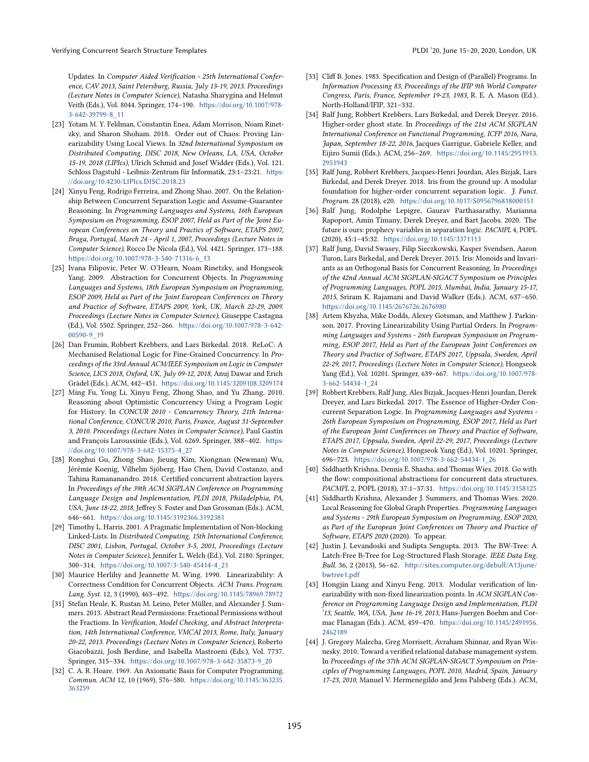Updates. In Computer Aided Verification - 25th International Conference, CAV 2013, Saint Petersburg, Russia, July 13-19, 2013. Proceedings (Lecture Notes in Computer Science), Natasha Sharygina and Helmut Veith (Eds.), Vol. 8044. Springer, 174-190. [https://doi.org/10.1007/978-](https://doi.org/10.1007/978-3-642-39799-8_11) [3-642-39799-8\\_11](https://doi.org/10.1007/978-3-642-39799-8_11)

- <span id="page-14-16"></span>[23] Yotam M. Y. Feldman, Constantin Enea, Adam Morrison, Noam Rinetzky, and Sharon Shoham. 2018. Order out of Chaos: Proving Linearizability Using Local Views. In 32nd International Symposium on Distributed Computing, DISC 2018, New Orleans, LA, USA, October 15-19, 2018 (LIPIcs), Ulrich Schmid and Josef Widder (Eds.), Vol. 121. Schloss Dagstuhl - Leibniz-Zentrum für Informatik, 23:1-23:21. [https:](https://doi.org/10.4230/LIPIcs.DISC.2018.23) [//doi.org/10.4230/LIPIcs.DISC.2018.23](https://doi.org/10.4230/LIPIcs.DISC.2018.23)
- <span id="page-14-3"></span>[24] Xinyu Feng, Rodrigo Ferreira, and Zhong Shao. 2007. On the Relationship Between Concurrent Separation Logic and Assume-Guarantee Reasoning. In Programming Languages and Systems, 16th European Symposium on Programming, ESOP 2007, Held as Part of the Joint European Conferences on Theory and Practics of Software, ETAPS 2007, Braga, Portugal, March 24 - April 1, 2007, Proceedings (Lecture Notes in Computer Science), Rocco De Nicola (Ed.), Vol. 4421. Springer, 173-188. [https://doi.org/10.1007/978-3-540-71316-6\\_13](https://doi.org/10.1007/978-3-540-71316-6_13)
- <span id="page-14-12"></span>[25] Ivana Filipovic, Peter W. O'Hearn, Noam Rinetzky, and Hongseok Yang. 2009. Abstraction for Concurrent Objects. In Programming Languages and Systems, 18th European Symposium on Programming, ESOP 2009, Held as Part of the Joint European Conferences on Theory and Practice of Software, ETAPS 2009, York, UK, March 22-29, 2009. Proceedings (Lecture Notes in Computer Science), Giuseppe Castagna (Ed.), Vol. 5502. Springer, 252-266. [https://doi.org/10.1007/978-3-642-](https://doi.org/10.1007/978-3-642-00590-9_19) [00590-9\\_19](https://doi.org/10.1007/978-3-642-00590-9_19)
- <span id="page-14-19"></span>[26] Dan Frumin, Robbert Krebbers, and Lars Birkedal. 2018. ReLoC: A Mechanised Relational Logic for Fine-Grained Concurrency. In Proceedings of the 33rd Annual ACM/IEEE Symposium on Logic in Computer Science, LICS 2018, Oxford, UK, July 09-12, 2018, Anuj Dawar and Erich Grädel (Eds.). ACM, 442-451. <https://doi.org/10.1145/3209108.3209174>
- <span id="page-14-4"></span>[27] Ming Fu, Yong Li, Xinyu Feng, Zhong Shao, and Yu Zhang. 2010. Reasoning about Optimistic Concurrency Using a Program Logic for History. In CONCUR 2010 - Concurrency Theory, 21th International Conference, CONCUR 2010, Paris, France, August 31-September 3, 2010. Proceedings (Lecture Notes in Computer Science), Paul Gastin and François Laroussinie (Eds.), Vol. 6269. Springer, 388-402. [https:](https://doi.org/10.1007/978-3-642-15375-4_27) [//doi.org/10.1007/978-3-642-15375-4\\_27](https://doi.org/10.1007/978-3-642-15375-4_27)
- <span id="page-14-17"></span>[28] Ronghui Gu, Zhong Shao, Jieung Kim, Xiongnan (Newman) Wu, Jérémie Koenig, Vilhelm Sjöberg, Hao Chen, David Costanzo, and Tahina Ramananandro. 2018. Certified concurrent abstraction layers. In Proceedings of the 39th ACM SIGPLAN Conference on Programming Language Design and Implementation, PLDI 2018, Philadelphia, PA, USA, June 18-22, 2018, Jeffrey S. Foster and Dan Grossman (Eds.). ACM, 646-661. <https://doi.org/10.1145/3192366.3192381>
- <span id="page-14-14"></span>[29] Timothy L. Harris. 2001. A Pragmatic Implementation of Non-blocking Linked-Lists. In Distributed Computing, 15th International Conference, DISC 2001, Lisbon, Portugal, October 3-5, 2001, Proceedings (Lecture Notes in Computer Science), Jennifer L. Welch (Ed.), Vol. 2180. Springer, 300-314. [https://doi.org/10.1007/3-540-45414-4\\_21](https://doi.org/10.1007/3-540-45414-4_21)
- <span id="page-14-1"></span>[30] Maurice Herlihy and Jeannette M. Wing. 1990. Linearizability: A Correctness Condition for Concurrent Objects. ACM Trans. Program. Lang. Syst. 12, 3 (1990), 463-492. <https://doi.org/10.1145/78969.78972>
- <span id="page-14-18"></span>[31] Stefan Heule, K. Rustan M. Leino, Peter Müller, and Alexander J. Summers. 2013. Abstract Read Permissions: Fractional Permissions without the Fractions. In Verification, Model Checking, and Abstract Interpretation, 14th International Conference, VMCAI 2013, Rome, Italy, January 20-22, 2013. Proceedings (Lecture Notes in Computer Science), Roberto Giacobazzi, Josh Berdine, and Isabella Mastroeni (Eds.), Vol. 7737. Springer, 315-334. [https://doi.org/10.1007/978-3-642-35873-9\\_20](https://doi.org/10.1007/978-3-642-35873-9_20)
- <span id="page-14-0"></span>[32] C. A. R. Hoare. 1969. An Axiomatic Basis for Computer Programming. Commun. ACM 12, 10 (1969), 576-580. [https://doi.org/10.1145/363235.](https://doi.org/10.1145/363235.363259) [363259](https://doi.org/10.1145/363235.363259)
- <span id="page-14-2"></span>[33] Cliff B. Jones. 1983. Specification and Design of (Parallel) Programs. In Information Processing 83, Proceedings of the IFIP 9th World Computer Congress, Paris, France, September 19-23, 1983, R. E. A. Mason (Ed.). North-Holland/IFIP, 321-332.
- <span id="page-14-6"></span>[34] Ralf Jung, Robbert Krebbers, Lars Birkedal, and Derek Dreyer. 2016. Higher-order ghost state. In Proceedings of the 21st ACM SIGPLAN International Conference on Functional Programming, ICFP 2016, Nara, Japan, September 18-22, 2016, Jacques Garrigue, Gabriele Keller, and Eijiro Sumii (Eds.). ACM, 256-269. [https://doi.org/10.1145/2951913.](https://doi.org/10.1145/2951913.2951943) [2951943](https://doi.org/10.1145/2951913.2951943)
- <span id="page-14-7"></span>[35] Ralf Jung, Robbert Krebbers, Jacques-Henri Jourdan, Ales Bizjak, Lars Birkedal, and Derek Dreyer. 2018. Iris from the ground up: A modular foundation for higher-order concurrent separation logic. J. Funct. Program. 28 (2018), e20. <https://doi.org/10.1017/S0956796818000151>
- <span id="page-14-9"></span>[36] Ralf Jung, Rodolphe Lepigre, Gaurav Parthasarathy, Marianna Rapoport, Amin Timany, Derek Dreyer, and Bart Jacobs. 2020. The future is ours: prophecy variables in separation logic. PACMPL 4, POPL (2020), 45:1-45:32. <https://doi.org/10.1145/3371113>
- <span id="page-14-5"></span>[37] Ralf Jung, David Swasey, Filip Sieczkowski, Kasper Svendsen, Aaron Turon, Lars Birkedal, and Derek Dreyer. 2015. Iris: Monoids and Invariants as an Orthogonal Basis for Concurrent Reasoning. In Proceedings of the 42nd Annual ACM SIGPLAN-SIGACT Symposium on Principles of Programming Languages, POPL 2015, Mumbai, India, January 15-17, 2015, Sriram K. Rajamani and David Walker (Eds.). ACM, 637-650. <https://doi.org/10.1145/2676726.2676980>
- <span id="page-14-20"></span>[38] Artem Khyzha, Mike Dodds, Alexey Gotsman, and Matthew J. Parkinson. 2017. Proving Linearizability Using Partial Orders. In Programming Languages and Systems - 26th European Symposium on Programming, ESOP 2017, Held as Part of the European Joint Conferences on Theory and Practice of Software, ETAPS 2017, Uppsala, Sweden, April 22-29, 2017, Proceedings (Lecture Notes in Computer Science), Hongseok Yang (Ed.), Vol. 10201. Springer, 639-667. [https://doi.org/10.1007/978-](https://doi.org/10.1007/978-3-662-54434-1_24) [3-662-54434-1\\_24](https://doi.org/10.1007/978-3-662-54434-1_24)
- <span id="page-14-8"></span>[39] Robbert Krebbers, Ralf Jung, Ales Bizjak, Jacques-Henri Jourdan, Derek Dreyer, and Lars Birkedal. 2017. The Essence of Higher-Order Concurrent Separation Logic. In Programming Languages and Systems - 26th European Symposium on Programming, ESOP 2017, Held as Part of the European Joint Conferences on Theory and Practice of Software, ETAPS 2017, Uppsala, Sweden, April 22-29, 2017, Proceedings (Lecture Notes in Computer Science), Hongseok Yang (Ed.), Vol. 10201. Springer, 696-723. [https://doi.org/10.1007/978-3-662-54434-1\\_26](https://doi.org/10.1007/978-3-662-54434-1_26)
- <span id="page-14-10"></span>[40] Siddharth Krishna, Dennis E. Shasha, and Thomas Wies. 2018. Go with the flow: compositional abstractions for concurrent data structures. PACMPL 2, POPL (2018), 37:1-37:31. <https://doi.org/10.1145/3158125>
- <span id="page-14-11"></span>[41] Siddharth Krishna, Alexander J. Summers, and Thomas Wies. 2020. Local Reasoning for Global Graph Properties. Programming Languages and Systems - 29th European Symposium on Programming, ESOP 2020, as Part of the European Joint Conferences on Theory and Practice of Software, ETAPS 2020 (2020). To appear.
- <span id="page-14-13"></span>[42] Justin J. Levandoski and Sudipta Sengupta. 2013. The BW-Tree: A Latch-Free B-Tree for Log-Structured Flash Storage. IEEE Data Eng. Bull. 36, 2 (2013), 56-62. [http://sites.computer.org/debull/A13june/](http://sites.computer.org/debull/A13june/bwtree1.pdf) [bwtree1.pdf](http://sites.computer.org/debull/A13june/bwtree1.pdf)
- <span id="page-14-21"></span>[43] Hongjin Liang and Xinyu Feng. 2013. Modular verification of linearizability with non-fixed linearization points. In ACM SIGPLAN Conference on Programming Language Design and Implementation, PLDI '13, Seattle, WA, USA, June 16-19, 2013, Hans-Juergen Boehm and Cormac Flanagan (Eds.). ACM, 459-470. [https://doi.org/10.1145/2491956.](https://doi.org/10.1145/2491956.2462189) [2462189](https://doi.org/10.1145/2491956.2462189)
- <span id="page-14-15"></span>[44] J. Gregory Malecha, Greg Morrisett, Avraham Shinnar, and Ryan Wisnesky. 2010. Toward a verified relational database management system. In Proceedings of the 37th ACM SIGPLAN-SIGACT Symposium on Principles of Programming Languages, POPL 2010, Madrid, Spain, January 17-23, 2010, Manuel V. Hermenegildo and Jens Palsberg (Eds.). ACM,